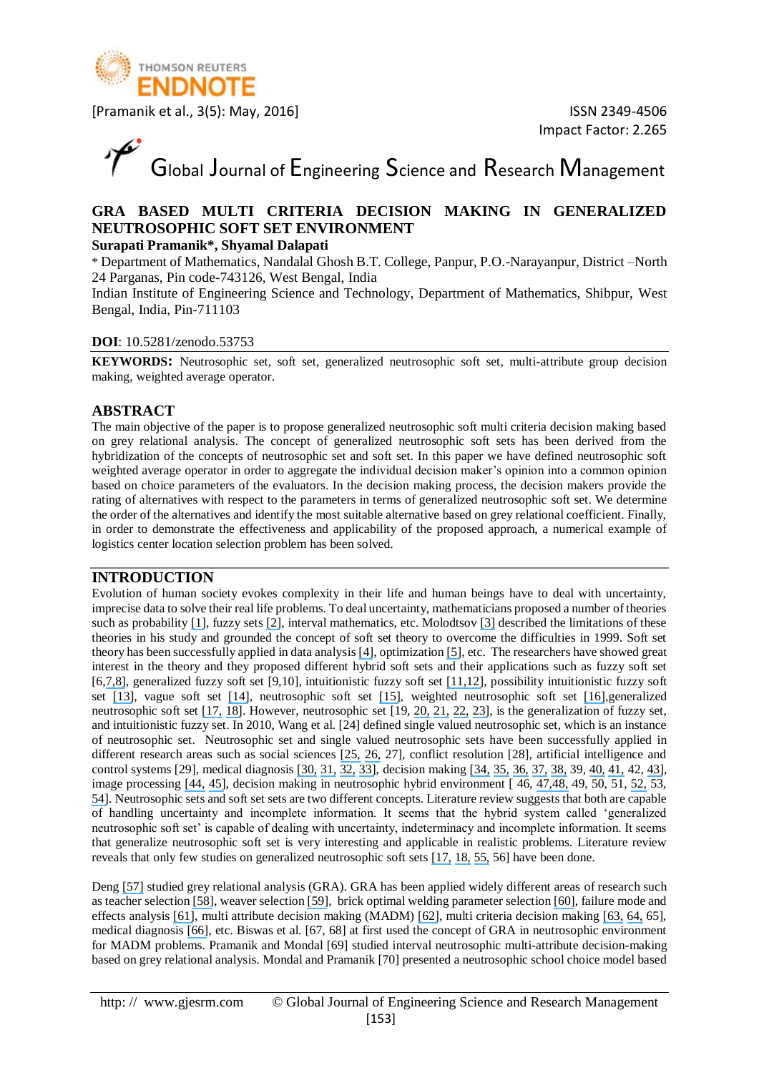

# Global Journal of Engineering Science and Research Management

#### **GRA BASED MULTI CRITERIA DECISION MAKING IN GENERALIZED NEUTROSOPHIC SOFT SET ENVIRONMENT**

#### **Surapati Pramanik\*, Shyamal Dalapati**

\* Department of Mathematics, Nandalal Ghosh B.T. College, Panpur, P.O.-Narayanpur, District –North 24 Parganas, Pin code-743126, West Bengal, India

Indian Institute of Engineering Science and Technology, Department of Mathematics, Shibpur, West Bengal, India, Pin-711103

#### **DOI**: 10.5281/zenodo.53753

**KEYWORDS:** Neutrosophic set, soft set, generalized neutrosophic soft set, multi-attribute group decision making, weighted average operator.

#### **ABSTRACT**

The main objective of the paper is to propose generalized neutrosophic soft multi criteria decision making based on grey relational analysis. The concept of generalized neutrosophic soft sets has been derived from the hybridization of the concepts of neutrosophic set and soft set. In this paper we have defined neutrosophic soft weighted average operator in order to aggregate the individual decision maker's opinion into a common opinion based on choice parameters of the evaluators. In the decision making process, the decision makers provide the rating of alternatives with respect to the parameters in terms of generalized neutrosophic soft set. We determine the order of the alternatives and identify the most suitable alternative based on grey relational coefficient. Finally, in order to demonstrate the effectiveness and applicability of the proposed approach, a numerical example of logistics center location selection problem has been solved.

#### **INTRODUCTION**

Evolution of human society evokes complexity in their life and human beings have to deal with uncertainty, imprecise data to solve their real life problems. To deal uncertainty, mathematicians proposed a number of theories such as probability [\[1\]](https://www.researchgate.net/publication/266409681_Creating_modern_probability_Its_mathematics_physics_and_philosophy_in_historical_perspective_Repr?el=1_x_8&enrichId=rgreq-c69a0d483fc4bb296ed5651ffe1ef4b5-XXX&enrichSource=Y292ZXJQYWdlOzMwMzY2NzQ1NTtBUzozODYyODI3MjAxMjA4MzRAMTQ2OTEwODM4NTgwOA==), fuzzy sets [\[2\]](https://www.researchgate.net/publication/287711963_Fuzzy_sets_information_and_control?el=1_x_8&enrichId=rgreq-c69a0d483fc4bb296ed5651ffe1ef4b5-XXX&enrichSource=Y292ZXJQYWdlOzMwMzY2NzQ1NTtBUzozODYyODI3MjAxMjA4MzRAMTQ2OTEwODM4NTgwOA==), interval mathematics, etc. Molodtsov [\[3\]](https://www.researchgate.net/publication/280757924_Soft_set_theory_-_First_results?el=1_x_8&enrichId=rgreq-c69a0d483fc4bb296ed5651ffe1ef4b5-XXX&enrichSource=Y292ZXJQYWdlOzMwMzY2NzQ1NTtBUzozODYyODI3MjAxMjA4MzRAMTQ2OTEwODM4NTgwOA==) described the limitations of these theories in his study and grounded the concept of soft set theory to overcome the difficulties in 1999. Soft set theory has been successfully applied in data analysis [\[4\]](https://www.researchgate.net/publication/223299778_Xiao_Z_Data_analysis_approaches_of_soft_sets_under_incomplete_information_Knowledge-Based_Syst_218_941-945?el=1_x_8&enrichId=rgreq-c69a0d483fc4bb296ed5651ffe1ef4b5-XXX&enrichSource=Y292ZXJQYWdlOzMwMzY2NzQ1NTtBUzozODYyODI3MjAxMjA4MzRAMTQ2OTEwODM4NTgwOA==), optimization [\[5\]](https://www.researchgate.net/publication/226470273_Soft_sets_theory-based_optimization?el=1_x_8&enrichId=rgreq-c69a0d483fc4bb296ed5651ffe1ef4b5-XXX&enrichSource=Y292ZXJQYWdlOzMwMzY2NzQ1NTtBUzozODYyODI3MjAxMjA4MzRAMTQ2OTEwODM4NTgwOA==), etc. The researchers have showed great interest in the theory and they proposed different hybrid soft sets and their applications such as fuzzy soft set [6,[7,](https://www.researchgate.net/publication/222232374_A_fuzzy_soft_set_theoretic_approach_to_decision_making_problems?el=1_x_8&enrichId=rgreq-c69a0d483fc4bb296ed5651ffe1ef4b5-XXX&enrichSource=Y292ZXJQYWdlOzMwMzY2NzQ1NTtBUzozODYyODI3MjAxMjA4MzRAMTQ2OTEwODM4NTgwOA==)[8\]](https://www.researchgate.net/publication/259895126_Fuzzy_Soft_Set_Theory_and_Its_Applications?el=1_x_8&enrichId=rgreq-c69a0d483fc4bb296ed5651ffe1ef4b5-XXX&enrichSource=Y292ZXJQYWdlOzMwMzY2NzQ1NTtBUzozODYyODI3MjAxMjA4MzRAMTQ2OTEwODM4NTgwOA==), generalized fuzzy soft set [9,10], intuitionistic fuzzy soft set [\[11,](https://www.researchgate.net/publication/234028590_Intuitionistic_fuzzy_soft_set_theory_and_its_decision_making?el=1_x_8&enrichId=rgreq-c69a0d483fc4bb296ed5651ffe1ef4b5-XXX&enrichSource=Y292ZXJQYWdlOzMwMzY2NzQ1NTtBUzozODYyODI3MjAxMjA4MzRAMTQ2OTEwODM4NTgwOA==)[12\]](https://www.researchgate.net/publication/265462442_Intuitionistic_fuzzy_soft_sets?el=1_x_8&enrichId=rgreq-c69a0d483fc4bb296ed5651ffe1ef4b5-XXX&enrichSource=Y292ZXJQYWdlOzMwMzY2NzQ1NTtBUzozODYyODI3MjAxMjA4MzRAMTQ2OTEwODM4NTgwOA==), possibility intuitionistic fuzzy soft set [\[13\]](https://www.researchgate.net/publication/258384058_Possibility_Intuitionistic_Fuzzy_Soft_Set?el=1_x_8&enrichId=rgreq-c69a0d483fc4bb296ed5651ffe1ef4b5-XXX&enrichSource=Y292ZXJQYWdlOzMwMzY2NzQ1NTtBUzozODYyODI3MjAxMjA4MzRAMTQ2OTEwODM4NTgwOA==), vague soft set [\[14\]](https://www.researchgate.net/publication/220512978_Vague_soft_sets_and_their_properties?el=1_x_8&enrichId=rgreq-c69a0d483fc4bb296ed5651ffe1ef4b5-XXX&enrichSource=Y292ZXJQYWdlOzMwMzY2NzQ1NTtBUzozODYyODI3MjAxMjA4MzRAMTQ2OTEwODM4NTgwOA==), neutrosophic soft set [\[15\]](https://www.researchgate.net/publication/305387825_Neutrosophic_soft_set?el=1_x_8&enrichId=rgreq-c69a0d483fc4bb296ed5651ffe1ef4b5-XXX&enrichSource=Y292ZXJQYWdlOzMwMzY2NzQ1NTtBUzozODYyODI3MjAxMjA4MzRAMTQ2OTEwODM4NTgwOA==), weighted neutrosophic soft set [\[16\]](https://www.researchgate.net/publication/281786655_An_Application_of_Weighted_Neutrosophic_Soft_Sets_in_a_Decision-Making_Problem?el=1_x_8&enrichId=rgreq-c69a0d483fc4bb296ed5651ffe1ef4b5-XXX&enrichSource=Y292ZXJQYWdlOzMwMzY2NzQ1NTtBUzozODYyODI3MjAxMjA4MzRAMTQ2OTEwODM4NTgwOA==),generalized neutrosophic soft set [\[17,](https://www.researchgate.net/publication/260255612_Generalised_Neutrosophic_Soft_Set_and_Its_Integration_to_Decision_Making_Problem?el=1_x_8&enrichId=rgreq-c69a0d483fc4bb296ed5651ffe1ef4b5-XXX&enrichSource=Y292ZXJQYWdlOzMwMzY2NzQ1NTtBUzozODYyODI3MjAxMjA4MzRAMTQ2OTEwODM4NTgwOA==) [18\]](https://www.researchgate.net/publication/236688061_Generalized_Neutrosophic_Soft_Set?el=1_x_8&enrichId=rgreq-c69a0d483fc4bb296ed5651ffe1ef4b5-XXX&enrichSource=Y292ZXJQYWdlOzMwMzY2NzQ1NTtBUzozODYyODI3MjAxMjA4MzRAMTQ2OTEwODM4NTgwOA==). However, neutrosophic set [19, [20,](https://www.researchgate.net/publication/221414250_Neutrosophic_Set_--_A_Generalization_of_the_Intuitionistic_Fuzzy_Set?el=1_x_8&enrichId=rgreq-c69a0d483fc4bb296ed5651ffe1ef4b5-XXX&enrichSource=Y292ZXJQYWdlOzMwMzY2NzQ1NTtBUzozODYyODI3MjAxMjA4MzRAMTQ2OTEwODM4NTgwOA==) [21,](https://www.researchgate.net/publication/266416576_A_unifying_field_in_logics_Neutrosophic_logic?el=1_x_8&enrichId=rgreq-c69a0d483fc4bb296ed5651ffe1ef4b5-XXX&enrichSource=Y292ZXJQYWdlOzMwMzY2NzQ1NTtBUzozODYyODI3MjAxMjA4MzRAMTQ2OTEwODM4NTgwOA==) [22,](https://www.researchgate.net/publication/2097039_Linguistic_Paradoxes_and_Tautologies?el=1_x_8&enrichId=rgreq-c69a0d483fc4bb296ed5651ffe1ef4b5-XXX&enrichSource=Y292ZXJQYWdlOzMwMzY2NzQ1NTtBUzozODYyODI3MjAxMjA4MzRAMTQ2OTEwODM4NTgwOA==) [23\]](https://www.researchgate.net/publication/237361912_A_Unifying_Field_in_Logics_Neutrsophic_Logic_Neutrosophy_Neutrosophic_Set_Neutrosophic_Probability_fourth_edition?el=1_x_8&enrichId=rgreq-c69a0d483fc4bb296ed5651ffe1ef4b5-XXX&enrichSource=Y292ZXJQYWdlOzMwMzY2NzQ1NTtBUzozODYyODI3MjAxMjA4MzRAMTQ2OTEwODM4NTgwOA==), is the generalization of fuzzy set, and intuitionistic fuzzy set. In 2010, Wang et al. [24] defined single valued neutrosophic set, which is an instance of neutrosophic set. Neutrosophic set and single valued neutrosophic sets have been successfully applied in different research areas such as social sciences [\[25,](https://www.researchgate.net/publication/228564858_A_Study_on_Suicide_problem_using_Combined_Overlap_Block_Neutrosophic_Cognitive_Maps?el=1_x_8&enrichId=rgreq-c69a0d483fc4bb296ed5651ffe1ef4b5-XXX&enrichSource=Y292ZXJQYWdlOzMwMzY2NzQ1NTtBUzozODYyODI3MjAxMjA4MzRAMTQ2OTEwODM4NTgwOA==) [26,](https://www.researchgate.net/publication/273121982_A_Study_on_Problems_of_Construction_Workers_in_West_Bengal_Based_on_Neutrosophic_Cognitive_Maps?el=1_x_8&enrichId=rgreq-c69a0d483fc4bb296ed5651ffe1ef4b5-XXX&enrichSource=Y292ZXJQYWdlOzMwMzY2NzQ1NTtBUzozODYyODI3MjAxMjA4MzRAMTQ2OTEwODM4NTgwOA==) 27], conflict resolution [28], artificial intelligence and control systems [29], medical diagnosis [\[30,](https://www.researchgate.net/publication/235003560_Proposal_for_Applicability_of_Neutrosophic_Set_Theory_in_Medical_AI?el=1_x_8&enrichId=rgreq-c69a0d483fc4bb296ed5651ffe1ef4b5-XXX&enrichSource=Y292ZXJQYWdlOzMwMzY2NzQ1NTtBUzozODYyODI3MjAxMjA4MzRAMTQ2OTEwODM4NTgwOA==) [31,](https://www.researchgate.net/publication/270268858_A_New_Neutrosophic_Approach_of_Wiener_Filtering_for_MRI_Denoising?el=1_x_8&enrichId=rgreq-c69a0d483fc4bb296ed5651ffe1ef4b5-XXX&enrichSource=Y292ZXJQYWdlOzMwMzY2NzQ1NTtBUzozODYyODI3MjAxMjA4MzRAMTQ2OTEwODM4NTgwOA==) [32,](https://www.researchgate.net/publication/259165219_MRI_denoising_using_nonlocal_neutrosophic_set_approach_of_Wiener_filtering?el=1_x_8&enrichId=rgreq-c69a0d483fc4bb296ed5651ffe1ef4b5-XXX&enrichSource=Y292ZXJQYWdlOzMwMzY2NzQ1NTtBUzozODYyODI3MjAxMjA4MzRAMTQ2OTEwODM4NTgwOA==) [33\]](https://www.researchgate.net/publication/270053269_Improved_cosine_similarity_measures_of_simplified_neutrosophic_sets_for_medical_diagnoses?el=1_x_8&enrichId=rgreq-c69a0d483fc4bb296ed5651ffe1ef4b5-XXX&enrichSource=Y292ZXJQYWdlOzMwMzY2NzQ1NTtBUzozODYyODI3MjAxMjA4MzRAMTQ2OTEwODM4NTgwOA==), decision making [\[34,](https://www.researchgate.net/publication/263257550_Multicriteria_decision-making_method_using_the_correlation_coefficient_under_single-value_neutrosophic_environment?el=1_x_8&enrichId=rgreq-c69a0d483fc4bb296ed5651ffe1ef4b5-XXX&enrichSource=Y292ZXJQYWdlOzMwMzY2NzQ1NTtBUzozODYyODI3MjAxMjA4MzRAMTQ2OTEwODM4NTgwOA==) [35,](https://www.researchgate.net/publication/260043492_Single_valued_neutrosophic_cross-entropy_for_multicriteria_decision_making_problems?el=1_x_8&enrichId=rgreq-c69a0d483fc4bb296ed5651ffe1ef4b5-XXX&enrichSource=Y292ZXJQYWdlOzMwMzY2NzQ1NTtBUzozODYyODI3MjAxMjA4MzRAMTQ2OTEwODM4NTgwOA==) [36,](https://www.researchgate.net/publication/281546974_Vector_similarity_measures_of_simplified_neutrosophic_sets_and_their_application_in_multicriteria_decision_making?el=1_x_8&enrichId=rgreq-c69a0d483fc4bb296ed5651ffe1ef4b5-XXX&enrichSource=Y292ZXJQYWdlOzMwMzY2NzQ1NTtBUzozODYyODI3MjAxMjA4MzRAMTQ2OTEwODM4NTgwOA==) [37,](https://www.researchgate.net/publication/279113201_Multiple_attribute_group_decision-making_method_with_completely_unknown_weights_based_on_similarity_measures_under_single_valued_neutrosophic_environment?el=1_x_8&enrichId=rgreq-c69a0d483fc4bb296ed5651ffe1ef4b5-XXX&enrichSource=Y292ZXJQYWdlOzMwMzY2NzQ1NTtBUzozODYyODI3MjAxMjA4MzRAMTQ2OTEwODM4NTgwOA==) [38,](https://www.researchgate.net/publication/275582874_Cosine_Similarity_Measure_Based_Multi-attribute_Decision-making_with_Trapezoidal_Fuzzy_Neutrosophic_Numbers?el=1_x_8&enrichId=rgreq-c69a0d483fc4bb296ed5651ffe1ef4b5-XXX&enrichSource=Y292ZXJQYWdlOzMwMzY2NzQ1NTtBUzozODYyODI3MjAxMjA4MzRAMTQ2OTEwODM4NTgwOA==) 39, [40,](https://www.researchgate.net/publication/285549611_Hybrid_vector_similarity_measures_and_their_applications_to_multi-attribute_decision_making_under_neutrosophic_environment?el=1_x_8&enrichId=rgreq-c69a0d483fc4bb296ed5651ffe1ef4b5-XXX&enrichSource=Y292ZXJQYWdlOzMwMzY2NzQ1NTtBUzozODYyODI3MjAxMjA4MzRAMTQ2OTEwODM4NTgwOA==) [41,](https://www.researchgate.net/publication/272828097_Neutrosophic_Refined_Similarity_Measure_Based_on_Cotangent_Function_and_its_Application_to_Multi-attribute_Decision_Making?el=1_x_8&enrichId=rgreq-c69a0d483fc4bb296ed5651ffe1ef4b5-XXX&enrichSource=Y292ZXJQYWdlOzMwMzY2NzQ1NTtBUzozODYyODI3MjAxMjA4MzRAMTQ2OTEwODM4NTgwOA==) 42, [43\]](https://www.researchgate.net/publication/281068263_Neutrosophic_Tangent_Similarity_Measure_and_Its_Application_to_Multiple_Attribute_Decision_Making?el=1_x_8&enrichId=rgreq-c69a0d483fc4bb296ed5651ffe1ef4b5-XXX&enrichSource=Y292ZXJQYWdlOzMwMzY2NzQ1NTtBUzozODYyODI3MjAxMjA4MzRAMTQ2OTEwODM4NTgwOA==), image processing [\[44,](https://www.researchgate.net/publication/220134488_Color_texture_image_segmentation_based_on_neutrosophic_set_and_wavelet_transformation?el=1_x_8&enrichId=rgreq-c69a0d483fc4bb296ed5651ffe1ef4b5-XXX&enrichSource=Y292ZXJQYWdlOzMwMzY2NzQ1NTtBUzozODYyODI3MjAxMjA4MzRAMTQ2OTEwODM4NTgwOA==) [45\]](https://www.researchgate.net/publication/227653028_A_NOVEL_IMAGE_SEGMENTATION_APPROACH_BASED_ON_NEUTROSOPHIC_SET_AND_IMPROVED_FUZZY_C-MEANS_ALGORITHM?el=1_x_8&enrichId=rgreq-c69a0d483fc4bb296ed5651ffe1ef4b5-XXX&enrichSource=Y292ZXJQYWdlOzMwMzY2NzQ1NTtBUzozODYyODI3MjAxMjA4MzRAMTQ2OTEwODM4NTgwOA==), decision making in neutrosophic hybrid environment [ 46, [47,](https://www.researchgate.net/publication/271531207_Cosine_Similarity_Measure_of_Rough_Neutrosophic_Sets_and_Its_Application_in_Medical_Diagnosis?el=1_x_8&enrichId=rgreq-c69a0d483fc4bb296ed5651ffe1ef4b5-XXX&enrichSource=Y292ZXJQYWdlOzMwMzY2NzQ1NTtBUzozODYyODI3MjAxMjA4MzRAMTQ2OTEwODM4NTgwOA==)[48,](https://www.researchgate.net/publication/276204036_COTANGENT_SIMILARITY_MEASURE_OF_ROUGH_NEUTROSOPHIC_SETS_AND_ITS_APPLICATION_TO_MEDICAL_DIAGNOSIS?el=1_x_8&enrichId=rgreq-c69a0d483fc4bb296ed5651ffe1ef4b5-XXX&enrichSource=Y292ZXJQYWdlOzMwMzY2NzQ1NTtBUzozODYyODI3MjAxMjA4MzRAMTQ2OTEwODM4NTgwOA==) 49, 50, 51, [52,](https://www.researchgate.net/publication/291970495_Tri-complex_Rough_Neutrosophic_Similarity_Measure_and_its_Application_in_Multi-attribute_Decision_Making?el=1_x_8&enrichId=rgreq-c69a0d483fc4bb296ed5651ffe1ef4b5-XXX&enrichSource=Y292ZXJQYWdlOzMwMzY2NzQ1NTtBUzozODYyODI3MjAxMjA4MzRAMTQ2OTEwODM4NTgwOA==) 53, [54\]](https://www.researchgate.net/publication/291970917_Generalized_neutrosophic_soft_multi-attribute_group_decision_making_based_on_TOPSIS?el=1_x_8&enrichId=rgreq-c69a0d483fc4bb296ed5651ffe1ef4b5-XXX&enrichSource=Y292ZXJQYWdlOzMwMzY2NzQ1NTtBUzozODYyODI3MjAxMjA4MzRAMTQ2OTEwODM4NTgwOA==). Neutrosophic sets and soft set sets are two different concepts. Literature review suggests that both are capable of handling uncertainty and incomplete information. It seems that the hybrid system called 'generalized neutrosophic soft set' is capable of dealing with uncertainty, indeterminacy and incomplete information. It seems that generalize neutrosophic soft set is very interesting and applicable in realistic problems. Literature review reveals that only few studies on generalized neutrosophic soft sets [\[17,](https://www.researchgate.net/publication/260255612_Generalised_Neutrosophic_Soft_Set_and_Its_Integration_to_Decision_Making_Problem?el=1_x_8&enrichId=rgreq-c69a0d483fc4bb296ed5651ffe1ef4b5-XXX&enrichSource=Y292ZXJQYWdlOzMwMzY2NzQ1NTtBUzozODYyODI3MjAxMjA4MzRAMTQ2OTEwODM4NTgwOA==) [18,](https://www.researchgate.net/publication/236688061_Generalized_Neutrosophic_Soft_Set?el=1_x_8&enrichId=rgreq-c69a0d483fc4bb296ed5651ffe1ef4b5-XXX&enrichSource=Y292ZXJQYWdlOzMwMzY2NzQ1NTtBUzozODYyODI3MjAxMjA4MzRAMTQ2OTEwODM4NTgwOA==) [55,](https://www.researchgate.net/publication/268443392_Generalized_Interval_Neutrosophic_Soft_Set_and_its_Decision_Making_Problem?el=1_x_8&enrichId=rgreq-c69a0d483fc4bb296ed5651ffe1ef4b5-XXX&enrichSource=Y292ZXJQYWdlOzMwMzY2NzQ1NTtBUzozODYyODI3MjAxMjA4MzRAMTQ2OTEwODM4NTgwOA==) 56] have been done.

Deng [\[57\]](https://www.researchgate.net/publication/285706996_Introduction_grey_system_theory?el=1_x_8&enrichId=rgreq-c69a0d483fc4bb296ed5651ffe1ef4b5-XXX&enrichSource=Y292ZXJQYWdlOzMwMzY2NzQ1NTtBUzozODYyODI3MjAxMjA4MzRAMTQ2OTEwODM4NTgwOA==) studied grey relational analysis (GRA). GRA has been applied widely different areas of research such as teacher selection [\[58\]](https://www.researchgate.net/publication/280021714_Grey_Relational_Analysis_based_Intuitionistic_Fuzzy_Multi-Criteria_Group_Decision-Making_Approach_for_Teacher_Selection_in_Higher_Education?el=1_x_8&enrichId=rgreq-c69a0d483fc4bb296ed5651ffe1ef4b5-XXX&enrichSource=Y292ZXJQYWdlOzMwMzY2NzQ1NTtBUzozODYyODI3MjAxMjA4MzRAMTQ2OTEwODM4NTgwOA==), weaver selection [\[59\]](https://www.researchgate.net/publication/287644259_AN_EXTENDED_GREY_RELATIONAL_ANALYSIS_BASED_INTERVAL_NEUTROSOPHIC_MULTI_ATTRIBUTE_DECISION_MAKING_FOR_WEAVER_SELECTION?el=1_x_8&enrichId=rgreq-c69a0d483fc4bb296ed5651ffe1ef4b5-XXX&enrichSource=Y292ZXJQYWdlOzMwMzY2NzQ1NTtBUzozODYyODI3MjAxMjA4MzRAMTQ2OTEwODM4NTgwOA==), brick optimal welding parameter selection [\[60\]](https://www.researchgate.net/publication/276936684_Application_of_grey_relational_analysis_for_optimizing_weld_bead_geometry_parameters_of_pulsed_current_micro_plasma_arc_welded_inconel_625_sheets?el=1_x_8&enrichId=rgreq-c69a0d483fc4bb296ed5651ffe1ef4b5-XXX&enrichSource=Y292ZXJQYWdlOzMwMzY2NzQ1NTtBUzozODYyODI3MjAxMjA4MzRAMTQ2OTEwODM4NTgwOA==), failure mode and effects analysis [\[61\]](https://www.researchgate.net/publication/257519807_Enhancing_FMEA_assessment_by_integrating_grey_relational_analysis_and_the_decision_making_trial_and_evaluation_laboratory_approach?el=1_x_8&enrichId=rgreq-c69a0d483fc4bb296ed5651ffe1ef4b5-XXX&enrichSource=Y292ZXJQYWdlOzMwMzY2NzQ1NTtBUzozODYyODI3MjAxMjA4MzRAMTQ2OTEwODM4NTgwOA==), multi attribute decision making (MADM) [\[62\]](https://www.researchgate.net/publication/262171212_A_hybrid_method_using_experiment_design_and_grey_relational_analysis_for_multiple_criteria_decision_making_problems?el=1_x_8&enrichId=rgreq-c69a0d483fc4bb296ed5651ffe1ef4b5-XXX&enrichSource=Y292ZXJQYWdlOzMwMzY2NzQ1NTtBUzozODYyODI3MjAxMjA4MzRAMTQ2OTEwODM4NTgwOA==), multi criteria decision making [\[63,](https://www.researchgate.net/publication/274404600_A_novel_fuzzy_soft_set_approach_in_decision_making_based_on_grey_relational_analysis_and_Dempster-Shafer_theory_of_evidence?el=1_x_8&enrichId=rgreq-c69a0d483fc4bb296ed5651ffe1ef4b5-XXX&enrichSource=Y292ZXJQYWdlOzMwMzY2NzQ1NTtBUzozODYyODI3MjAxMjA4MzRAMTQ2OTEwODM4NTgwOA==) [64,](https://www.researchgate.net/publication/299336753_Multi-criteria_group_decision_making_in_intuitionistic_fuzzy_environment_based_on_grey_relational_analysis_for_weaver_selection_in_Khadi_institution?el=1_x_8&enrichId=rgreq-c69a0d483fc4bb296ed5651ffe1ef4b5-XXX&enrichSource=Y292ZXJQYWdlOzMwMzY2NzQ1NTtBUzozODYyODI3MjAxMjA4MzRAMTQ2OTEwODM4NTgwOA==) 65], medical diagnosis [\[66\]](https://www.researchgate.net/publication/277339971_An_approach_to_fuzzy_soft_sets_in_decision_making_based_on_grey_relational_analysis_and_Dempster-Shafer_theory_of_evidence_An_application_in_medical_diagnosis?el=1_x_8&enrichId=rgreq-c69a0d483fc4bb296ed5651ffe1ef4b5-XXX&enrichSource=Y292ZXJQYWdlOzMwMzY2NzQ1NTtBUzozODYyODI3MjAxMjA4MzRAMTQ2OTEwODM4NTgwOA==), etc. Biswas et al. [67, 68] at first used the concept of GRA in neutrosophic environment for MADM problems. Pramanik and Mondal [69] studied interval neutrosophic multi-attribute decision-making based on grey relational analysis. Mondal and Pramanik [70] presented a neutrosophic school choice model based

http: // www.gjesrm.com © Global Journal of Engineering Science and Research Management [153]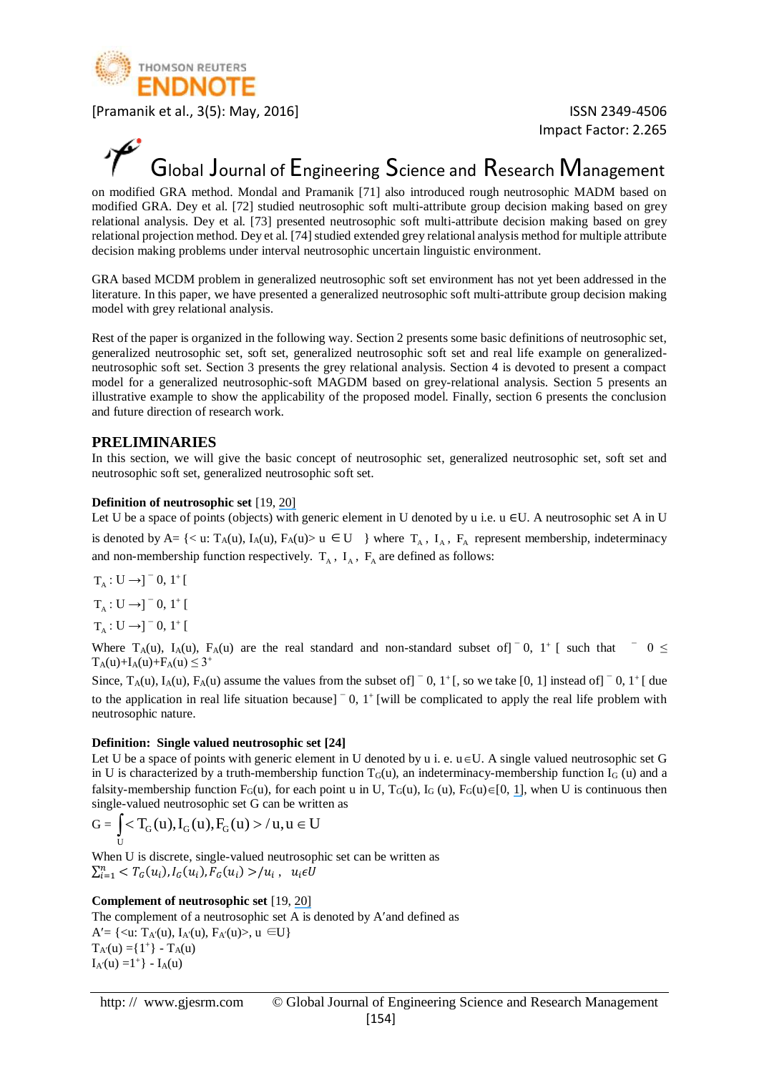

Impact Factor: 2.265

### Global Journal of Engineering Science and Research Management

on modified GRA method. Mondal and Pramanik [71] also introduced rough neutrosophic MADM based on modified GRA. Dey et al. [72] studied neutrosophic soft multi-attribute group decision making based on grey relational analysis. Dey et al. [73] presented neutrosophic soft multi-attribute decision making based on grey relational projection method. Dey et al. [74] studied extended grey relational analysis method for multiple attribute decision making problems under interval neutrosophic uncertain linguistic environment.

GRA based MCDM problem in generalized neutrosophic soft set environment has not yet been addressed in the literature. In this paper, we have presented a generalized neutrosophic soft multi-attribute group decision making model with grey relational analysis.

Rest of the paper is organized in the following way. Section 2 presents some basic definitions of neutrosophic set, generalized neutrosophic set, soft set, generalized neutrosophic soft set and real life example on generalizedneutrosophic soft set. Section 3 presents the grey relational analysis. Section 4 is devoted to present a compact model for a generalized neutrosophic-soft MAGDM based on grey-relational analysis. Section 5 presents an illustrative example to show the applicability of the proposed model. Finally, section 6 presents the conclusion and future direction of research work.

#### **PRELIMINARIES**

In this section, we will give the basic concept of neutrosophic set, generalized neutrosophic set, soft set and neutrosophic soft set, generalized neutrosophic soft set.

#### **Definition of neutrosophic set** [19, [20\]](https://www.researchgate.net/publication/221414250_Neutrosophic_Set_--_A_Generalization_of_the_Intuitionistic_Fuzzy_Set?el=1_x_8&enrichId=rgreq-c69a0d483fc4bb296ed5651ffe1ef4b5-XXX&enrichSource=Y292ZXJQYWdlOzMwMzY2NzQ1NTtBUzozODYyODI3MjAxMjA4MzRAMTQ2OTEwODM4NTgwOA==)

Let U be a space of points (objects) with generic element in U denoted by u i.e. u ∈U. A neutrosophic set A in U

is denoted by A= {< u: T<sub>A</sub>(u), I<sub>A</sub>(u), F<sub>A</sub>(u)> u  $\in$  U } where T<sub>A</sub>, I<sub>A</sub>, F<sub>A</sub> represent membership, indeterminacy and non-membership function respectively.  $T_A$ ,  $I_A$ ,  $F_A$  are defined as follows:

$$
T_A: U \rightarrow ]^- 0, 1^+[
$$
  

$$
T_A: U \rightarrow ]^- 0, 1^+[
$$
  

$$
T_A: U \rightarrow ]^- 0, 1^+[
$$

Where  $T_A(u)$ ,  $I_A(u)$ ,  $F_A(u)$  are the real standard and non-standard subset of  $\bar{I}$  0,  $\bar{I}$  [ such that  $\bar{I}$  0  $\leq$  $T_A(u) + I_A(u) + F_A(u) \leq 3^+$ 

Since,  $T_A(u)$ ,  $I_A(u)$ ,  $F_A(u)$  assume the values from the subset of  $]$   $\bar{0}$ ,  $1$   $\bar{1}$  (, so we take  $[0, 1]$  instead of  $]$   $\bar{0}$ ,  $1$   $\bar{1}$  ( due to the application in real life situation because]  $\bar{0}$ , 1<sup>+</sup> [will be complicated to apply the real life problem with neutrosophic nature.

#### **Definition: Single valued neutrosophic set [24]**

Let U be a space of points with generic element in U denoted by  $u$  i. e.  $u \in U$ . A single valued neutrosophic set G in U is characterized by a truth-membership function  $T_G(u)$ , an indeterminacy-membership function  $I_G(u)$  and a falsity-membership function  $F_G(u)$ , for each point u in U,  $T_G(u)$ ,  $I_G(u)$ ,  $F_G(u) \in [0, 1]$  $F_G(u) \in [0, 1]$ , when U is continuous then single-valued neutrosophic set G can be written as

$$
G = \int_{U}  /u, u \in U
$$

When U is discrete, single-valued neutrosophic set can be written as  $\sum_{i=1}^n < T_G(u_i), I_G(u_i), F_G(u_i) > u_i, u_i \in U$ 

#### **Complement of neutrosophic set** [19, [20\]](https://www.researchgate.net/publication/221414250_Neutrosophic_Set_--_A_Generalization_of_the_Intuitionistic_Fuzzy_Set?el=1_x_8&enrichId=rgreq-c69a0d483fc4bb296ed5651ffe1ef4b5-XXX&enrichSource=Y292ZXJQYWdlOzMwMzY2NzQ1NTtBUzozODYyODI3MjAxMjA4MzRAMTQ2OTEwODM4NTgwOA==)

The complement of a neutrosophic set A is denoted by A' and defined as A' = { < u: T<sub>A'</sub>(u), I<sub>A'</sub>(u), F<sub>A'</sub>(u) >, u  $\in U$ }  $T_{A}(u) = \{1^+\} - T_{A}(u)$  $I_{A}(u) = 1^+$  -  $I_{A}(u)$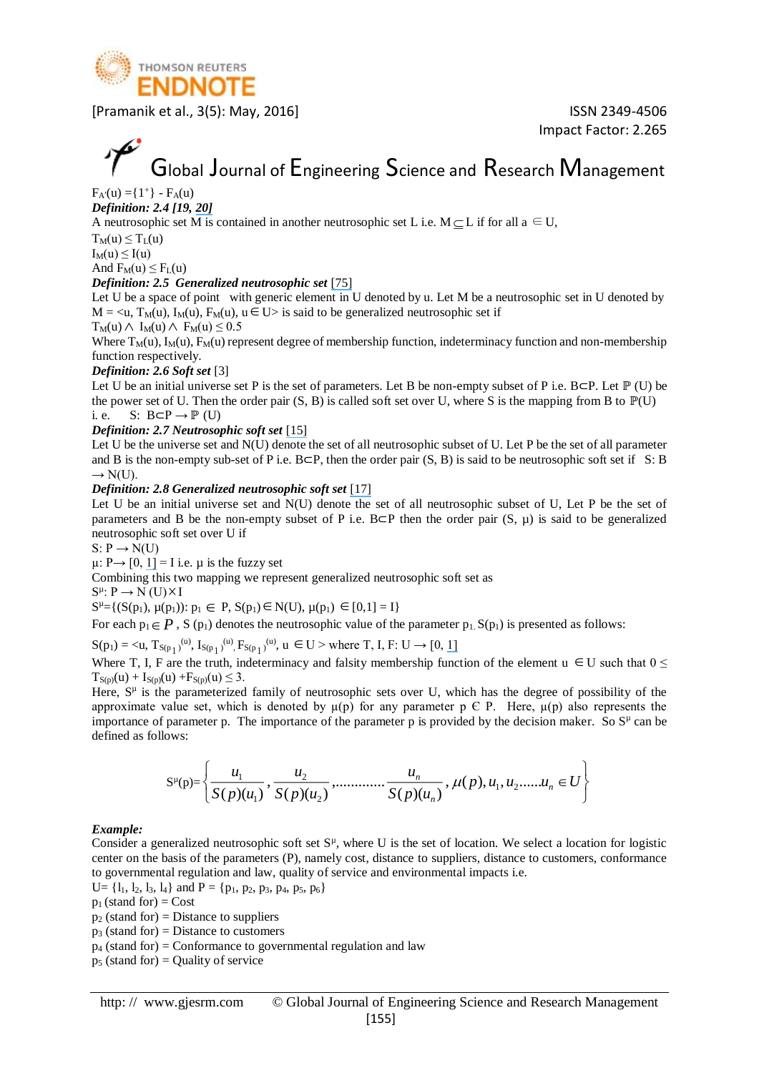

Impact Factor: 2.265

# Global Journal of Engineering Science and Research Management

 $F_{A}(u) = \{1^+\} - F_A(u)$ *Definition: 2.4 [19, [20\]](https://www.researchgate.net/publication/221414250_Neutrosophic_Set_--_A_Generalization_of_the_Intuitionistic_Fuzzy_Set?el=1_x_8&enrichId=rgreq-c69a0d483fc4bb296ed5651ffe1ef4b5-XXX&enrichSource=Y292ZXJQYWdlOzMwMzY2NzQ1NTtBUzozODYyODI3MjAxMjA4MzRAMTQ2OTEwODM4NTgwOA==)*

A neutrosophic set M is contained in another neutrosophic set L i.e.  $M \subseteq L$  if for all  $a \in U$ ,

 $T_M(u) \leq T_L(u)$  $I_M(u) \leq I(u)$ 

And  $F_M(u) \leq F_L(u)$ 

#### *Definition: 2.5 Generalized neutrosophic set* [\[75\]](https://www.researchgate.net/publication/272769097_Generalized_Neutrosophic_Set_and_Generalized_Neutrosophic_Topological_Spaces?el=1_x_8&enrichId=rgreq-c69a0d483fc4bb296ed5651ffe1ef4b5-XXX&enrichSource=Y292ZXJQYWdlOzMwMzY2NzQ1NTtBUzozODYyODI3MjAxMjA4MzRAMTQ2OTEwODM4NTgwOA==)

Let U be a space of point with generic element in U denoted by u. Let M be a neutrosophic set in U denoted by  $M = \langle u, T_M(u), I_M(u), F_M(u), u \in U \rangle$  is said to be generalized neutrosophic set if

 $T_M(u) \wedge I_M(u) \wedge F_M(u) \leq 0.5$ 

Where  $T_M(u)$ ,  $I_M(u)$ ,  $F_M(u)$  represent degree of membership function, indeterminacy function and non-membership function respectively.

#### *Definition: 2.6 Soft set* [3]

Let U be an initial universe set P is the set of parameters. Let B be non-empty subset of P i.e. B⊂P. Let  $\mathbb P$  (U) be the power set of U. Then the order pair  $(S, B)$  is called soft set over U, where S is the mapping from B to  $\mathbb{P}(U)$ i. e. S:  $B \subset P \to \mathbb{P}$  (U)

#### *Definition: 2.7 Neutrosophic soft set* [\[15\]](https://www.researchgate.net/publication/305387825_Neutrosophic_soft_set?el=1_x_8&enrichId=rgreq-c69a0d483fc4bb296ed5651ffe1ef4b5-XXX&enrichSource=Y292ZXJQYWdlOzMwMzY2NzQ1NTtBUzozODYyODI3MjAxMjA4MzRAMTQ2OTEwODM4NTgwOA==)

Let U be the universe set and N(U) denote the set of all neutrosophic subset of U. Let P be the set of all parameter and B is the non-empty sub-set of P i.e. B⊂P, then the order pair (S, B) is said to be neutrosophic soft set if S: B  $\rightarrow$  N(U).

*Definition: 2.8 Generalized neutrosophic soft set* [\[17\]](https://www.researchgate.net/publication/260255612_Generalised_Neutrosophic_Soft_Set_and_Its_Integration_to_Decision_Making_Problem?el=1_x_8&enrichId=rgreq-c69a0d483fc4bb296ed5651ffe1ef4b5-XXX&enrichSource=Y292ZXJQYWdlOzMwMzY2NzQ1NTtBUzozODYyODI3MjAxMjA4MzRAMTQ2OTEwODM4NTgwOA==)

Let U be an initial universe set and N(U) denote the set of all neutrosophic subset of U, Let P be the set of parameters and B be the non-empty subset of P i.e. B⊂P then the order pair  $(S, \mu)$  is said to be generalized neutrosophic soft set over U if

 $S: P \rightarrow N(U)$ 

 $\mu: P \rightarrow [0, 1] = I$  $\mu: P \rightarrow [0, 1] = I$  $\mu: P \rightarrow [0, 1] = I$  i.e.  $\mu$  is the fuzzy set

Combining this two mapping we represent generalized neutrosophic soft set as

 $S^{\mu}$ :  $P \rightarrow N$  (U)  $\times I$ 

 $S^{\mu} = \{ (S(p_1), \mu(p_1)) : p_1 \in P, S(p_1) \in N(U), \mu(p_1) \in [0,1] = I \}$ 

For each  $p_1 \in P$ , S ( $p_1$ ) denotes the neutrosophic value of the parameter  $p_1$ , S( $p_1$ ) is presented as follows:

 $S(p_1) = \langle u, T_{S(p_1)}^{(u)}, I_{S(p_1)}^{(u)}, F_{S(p_1)}^{(u)}, u \in U \rangle$  where T, I, F: U  $\rightarrow$  [0, [1\]](https://www.researchgate.net/publication/266409681_Creating_modern_probability_Its_mathematics_physics_and_philosophy_in_historical_perspective_Repr?el=1_x_8&enrichId=rgreq-c69a0d483fc4bb296ed5651ffe1ef4b5-XXX&enrichSource=Y292ZXJQYWdlOzMwMzY2NzQ1NTtBUzozODYyODI3MjAxMjA4MzRAMTQ2OTEwODM4NTgwOA==)

Where T, I, F are the truth, indeterminacy and falsity membership function of the element  $u \in U$  such that  $0 \leq$  $T_{S(p)}(u) + I_{S(p)}(u) + F_{S(p)}(u) \leq 3.$ 

Here,  $S<sup>\mu</sup>$  is the parameterized family of neutrosophic sets over U, which has the degree of possibility of the approximate value set, which is denoted by  $\mu(p)$  for any parameter p  $\in$  P. Here,  $\mu(p)$  also represents the importance of parameter p. The importance of the parameter p is provided by the decision maker. So  $S<sup>\mu</sup>$  can be defined as follows:

$$
S^{\mu}(p) = \left\{ \frac{u_1}{S(p)(u_1)}, \frac{u_2}{S(p)(u_2)}, \dots, \frac{u_n}{S(p)(u_n)}, \mu(p), u_1, u_2, \dots, u_n \in U \right\}
$$

#### *Example:*

Consider a generalized neutrosophic soft set  $S<sup>\mu</sup>$ , where U is the set of location. We select a location for logistic center on the basis of the parameters (P), namely cost, distance to suppliers, distance to customers, conformance to governmental regulation and law, quality of service and environmental impacts i.e.

 $U = \{l_1, l_2, l_3, l_4\}$  and  $P = \{p_1, p_2, p_3, p_4, p_5, p_6\}$ 

 $p_1$  (stand for) = Cost

 $p_2$  (stand for) = Distance to suppliers

 $p_3$  (stand for) = Distance to customers

 $p_4$  (stand for) = Conformance to governmental regulation and law

 $p_5$  (stand for) = Quality of service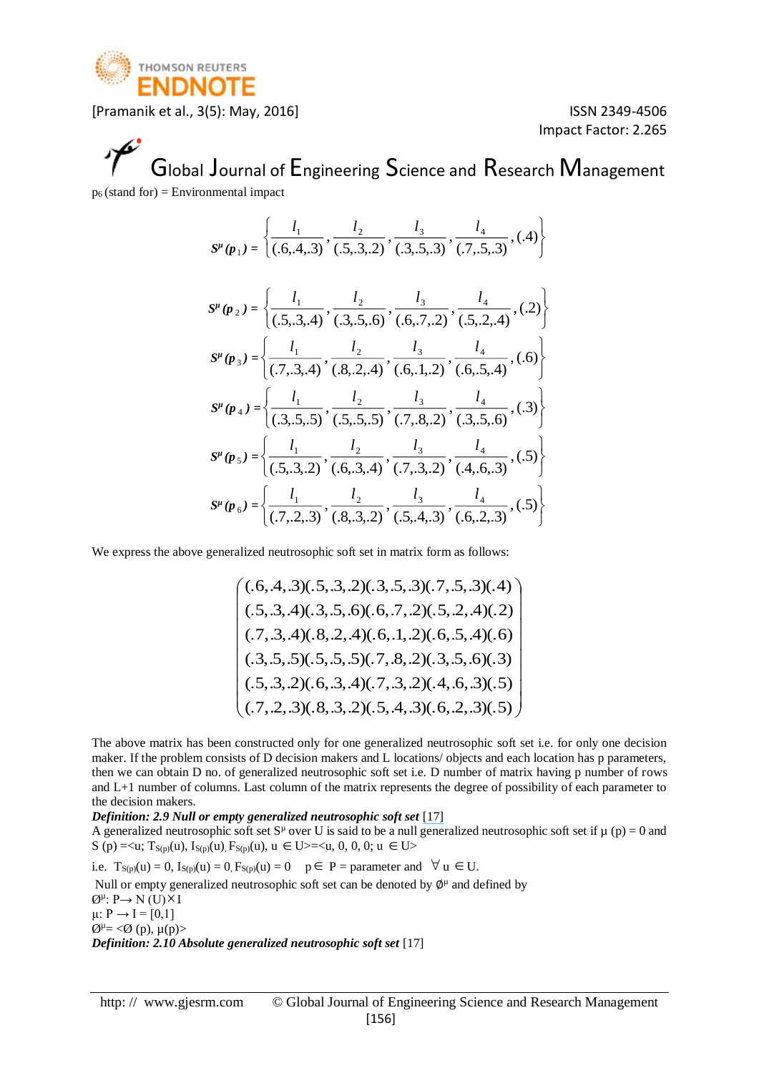

Impact Factor: 2.265

### Global Journal of Engineering Science and Research Management  $p_6$  (stand for) = Environmental impact

$$
S^{\mu}(\mathbf{p}_{1}) = \left\{ \frac{l_{1}}{(.6,4,3)}, \frac{l_{2}}{(.5,3,2)}, \frac{l_{3}}{(.3,5,3)}, \frac{l_{4}}{(.7,5,3)}, (.4) \right\}
$$
  
\n
$$
S^{\mu}(\mathbf{p}_{2}) = \left\{ \frac{l_{1}}{(.5,3,4)}, \frac{l_{2}}{(.3,5,6)}, \frac{l_{3}}{(.6,7,2)}, \frac{l_{4}}{(.5,2,4)}, (.2) \right\}
$$
  
\n
$$
S^{\mu}(\mathbf{p}_{3}) = \left\{ \frac{l_{1}}{(.7,3,4)}, \frac{l_{2}}{(.8,2,4)}, \frac{l_{3}}{(.6,1,2)}, \frac{l_{4}}{(.6,5,4)}, (.6) \right\}
$$
  
\n
$$
S^{\mu}(\mathbf{p}_{4}) = \left\{ \frac{l_{1}}{(.3,5,5)}, \frac{l_{2}}{(.5,5,5)}, \frac{l_{3}}{(.7,8,2)}, \frac{l_{4}}{(.3,5,6)}, (.3) \right\}
$$
  
\n
$$
S^{\mu}(\mathbf{p}_{5}) = \left\{ \frac{l_{1}}{(.5,3,2)}, \frac{l_{2}}{(.6,3,4)}, \frac{l_{3}}{(.7,3,2)}, \frac{l_{4}}{(.4,6,3)}, (.5) \right\}
$$
  
\n
$$
S^{\mu}(\mathbf{p}_{6}) = \left\{ \frac{l_{1}}{(.7,2,3)}, \frac{l_{2}}{(.8,3,2)}, \frac{l_{3}}{(.5,4,3)}, \frac{l_{4}}{(.6,2,3)}, (.5) \right\}
$$

We express the above generalized neutrosophic soft set in matrix form as follows:

$$
\begin{pmatrix}\n(.6,4,3)(.5,3,2)(.3,5,3)(.7,5,3)(.4) \\
(.5,3,4)(.3,5,6)(.6,7,2)(.5,2,4)(.2) \\
(.7,3,4)(.8,2,4)(.6,1,2)(.6,5,4)(.6) \\
(.3,5,5)(.5,5,5)(.7,8,2)(.3,5,6)(.3) \\
(.5,3,2)(.6,3,4)(.7,3,2)(.4,6,3)(.5) \\
(.7,2,3)(.8,3,2)(.5,4,3)(.6,2,3)(.5)\n\end{pmatrix}
$$

The above matrix has been constructed only for one generalized neutrosophic soft set i.e. for only one decision maker. If the problem consists of D decision makers and L locations/ objects and each location has p parameters, then we can obtain D no. of generalized neutrosophic soft set i.e. D number of matrix having p number of rows and L+1 number of columns. Last column of the matrix represents the degree of possibility of each parameter to the decision makers.

*Definition: 2.9 Null or empty generalized neutrosophic soft set* [\[17\]](https://www.researchgate.net/publication/260255612_Generalised_Neutrosophic_Soft_Set_and_Its_Integration_to_Decision_Making_Problem?el=1_x_8&enrichId=rgreq-c69a0d483fc4bb296ed5651ffe1ef4b5-XXX&enrichSource=Y292ZXJQYWdlOzMwMzY2NzQ1NTtBUzozODYyODI3MjAxMjA4MzRAMTQ2OTEwODM4NTgwOA==)

A generalized neutrosophic soft set S<sup>µ</sup> over U is said to be a null generalized neutrosophic soft set if  $\mu$  (p) = 0 and  $S(p) = \langle u, T_{S(p)}(u), I_{S(p)}(u), F_{S(p)}(u), u \in U \rangle = \langle u, 0, 0, 0, u \in U \rangle$ 

i.e.  $T_{S(p)}(u) = 0$ ,  $I_{S(p)}(u) = 0$ ,  $F_{S(p)}(u) = 0$   $p \in P =$  parameter and  $\forall u \in U$ .

Null or empty generalized neutrosophic soft set can be denoted by  $\phi^{\mu}$  and defined by  $\varnothing^\mu: P \to N(U) \times I$  $\mu: P \to I = [0,1]$  $\varnothing^{\mu} = \varnothing$  (p),  $\mu(p)$ *Definition: 2.10 Absolute generalized neutrosophic soft set* [17]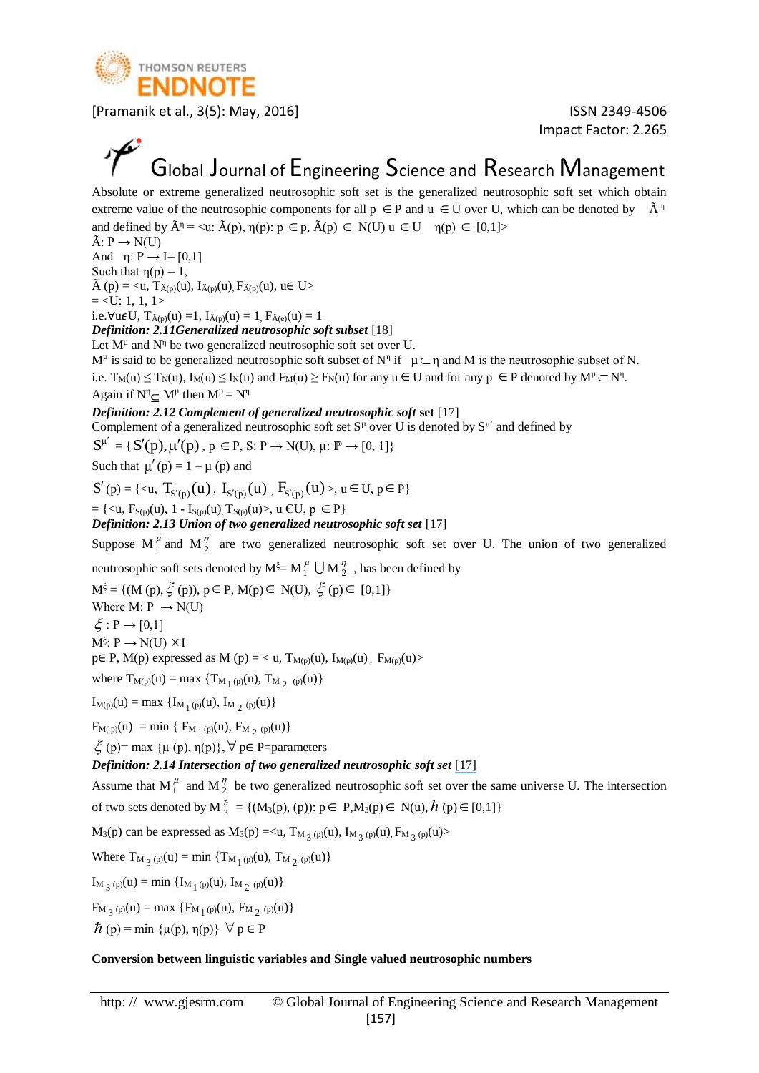

Impact Factor: 2.265

### Global Journal of Engineering Science and Research Management

Absolute or extreme generalized neutrosophic soft set is the generalized neutrosophic soft set which obtain extreme value of the neutrosophic components for all  $p \in P$  and  $u \in U$  over U, which can be denoted by  $\tilde{A}^{\eta}$ and defined by  $\tilde{A}^{\eta} = \langle u: \tilde{A}(p), \eta(p): p \in p, \tilde{A}(p) \in N(U) \, u \in U \, \eta(p) \in [0,1] \rangle$ 

 $\tilde{A}: P \rightarrow N(U)$ 

And  $\eta: P \rightarrow I=[0,1]$ 

Such that  $\eta(p) = 1$ ,  $\tilde{A}$  (p) = <u,  $T_{\tilde{A}(p)}(u)$ ,  $I_{\tilde{A}(p)}(u)$ ,  $F_{\tilde{A}(p)}(u)$ ,  $u \in U$ >

 $=$  <U: 1, 1, 1>

i.e.∀u $\epsilon U$ , T $_{\tilde{A}(p)}(u) = 1$ , I $_{\tilde{A}(p)}(u) = 1$ , F $_{\tilde{A}(e)}(u) = 1$ 

*Definition: 2.11Generalized neutrosophic soft subset* [18]

Let  $M^{\mu}$  and  $N^{\eta}$  be two generalized neutrosophic soft set over U.

 $M^{\mu}$  is said to be generalized neutrosophic soft subset of  $N^{\eta}$  if  $\mu \subseteq \eta$  and M is the neutrosophic subset of N. i.e.  $T_M(u) \le T_N(u)$ ,  $I_M(u) \le I_N(u)$  and  $F_M(u) \ge F_N(u)$  for any  $u \in U$  and for any  $p \in P$  denoted by  $M^{\mu} \subseteq N^{\eta}$ . Again if  $N^{\eta} \subseteq M^{\mu}$  then  $M^{\mu} = N^{\eta}$ 

#### *Definition: 2.12 Complement of generalized neutrosophic soft* **set** [17]

Complement of a generalized neutrosophic soft set  $S^{\mu}$  over U is denoted by  $S^{\mu'}$  and defined by

 $S^{\mu'} = \{ S'(p), \mu'(p), p \in P, S: P \rightarrow N(U), \mu: \mathbb{P} \rightarrow [0, 1] \}$ 

Such that  $\mu'(\mathbf{p}) = 1 - \mu(\mathbf{p})$  and

 $S'(p) = \{ \langle u, T_{S'(p)}(u), I_{S'(p)}(u), F_{S'(p)}(u) \rangle, u \in U, p \in P \}$ 

 $= \{ \langle u, F_{S(p)}(u), 1 - I_{S(p)}(u), T_{S(p)}(u) \rangle, u \in U, p \in P \}$ 

*Definition: 2.13 Union of two generalized neutrosophic soft set* [17]

Suppose  $M_1^{\mu}$  and  $M_2^{\eta}$  are two generalized neutrosophic soft set over U. The union of two generalized

neutrosophic soft sets denoted by  $M^{\xi} = M_1^{\mu} \cup M_2^{\eta}$ , has been defined by

 $M^{\xi} = \{ (M (p), \xi (p)), p \in P, M(p) \in N(U), \xi (p) \in [0,1] \}$ 

Where M:  $P \rightarrow N(U)$ 

 $\xi : P \rightarrow [0,1]$ 

 $M^{\xi}$ :  $P \rightarrow N(U) \times I$ 

p∈ P, M(p) expressed as M (p) = < u, T<sub>M(p)</sub>(u), I<sub>M(p)</sub>(u), F<sub>M(p)</sub>(u)>

where  $T_{M(p)}(u) = \max \{ T_{M_1(p)}(u), T_{M_2(p)}(u) \}$ 

 $I_{M(p)}(u) = \max \{I_{M_1(p)}(u), I_{M_2(p)}(u)\}\$ 

 $F_{M(p)}(u) = min \{ F_{M_1(p)}(u), F_{M_2(p)}(u) \}$ 

 $\xi$  (p)= max {μ (p), η(p)},  $\forall$  p∈ P=parameters

#### *Definition: 2.14 Intersection of two generalized neutrosophic soft set* [\[17\]](https://www.researchgate.net/publication/260255612_Generalised_Neutrosophic_Soft_Set_and_Its_Integration_to_Decision_Making_Problem?el=1_x_8&enrichId=rgreq-c69a0d483fc4bb296ed5651ffe1ef4b5-XXX&enrichSource=Y292ZXJQYWdlOzMwMzY2NzQ1NTtBUzozODYyODI3MjAxMjA4MzRAMTQ2OTEwODM4NTgwOA==)

Assume that  $M_1^{\mu}$  and  $M_2^{\eta}$  be two generalized neutrosophic soft set over the same universe U. The intersection of two sets denoted by  $M_{3}^{h} = \{ (M_{3}(p), (p)) : p \in P, M_{3}(p) \in N(u), \hbar (p) \in [0,1] \}$ 

 $M_3(p)$  can be expressed as  $M_3(p) = \langle u, T_{M_3(p)}(u), I_{M_3(p)}(u), F_{M_3(p)}(u) \rangle$ 

Where 
$$
T_{M_{3}(p)}(u) = \min \{T_{M_{1}(p)}(u), T_{M_{2}(p)}(u)\}
$$

 $I_{M_3(p)}(u) = \min \{ I_{M_1(p)}(u), I_{M_2(p)}(u) \}$ 

 $F_{M_3(p)}(u) = \max \{F_{M_1(p)}(u), F_{M_2(p)}(u)\}$ 

 $\hbar$  (p) = min { $\mu$ (p),  $\eta$ (p)}  $\forall$  p  $\in$  P

#### **Conversion between linguistic variables and Single valued neutrosophic numbers**

http: // www.gjesrm.com © Global Journal of Engineering Science and Research Management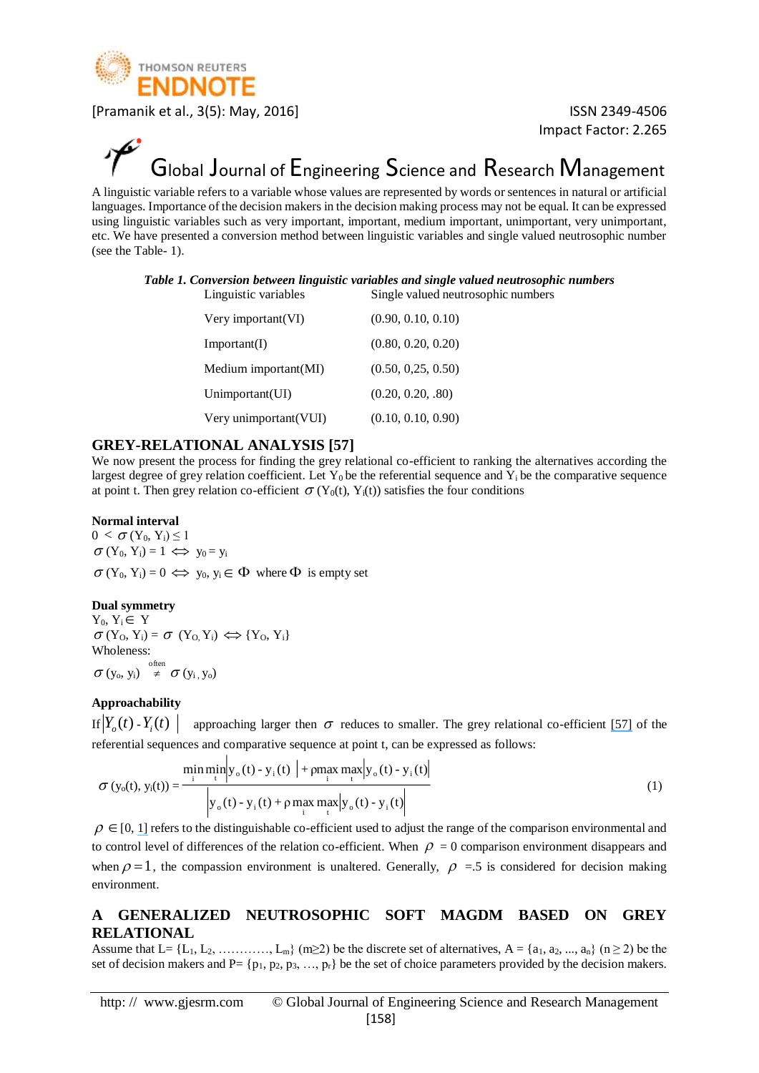

Impact Factor: 2.265

### Global Journal of Engineering Science and Research Management

A linguistic variable refers to a variable whose values are represented by words or sentences in natural or artificial languages. Importance of the decision makers in the decision making process may not be equal. It can be expressed using linguistic variables such as very important, important, medium important, unimportant, very unimportant, etc. We have presented a conversion method between linguistic variables and single valued neutrosophic number (see the Table- 1).

#### *Table 1. Conversion between linguistic variables and single valued neutrosophic numbers* Linguistic variables Single valued neutrosophic numbers

| Very important (VI)   | (0.90, 0.10, 0.10) |
|-----------------------|--------------------|
| Important(I)          | (0.80, 0.20, 0.20) |
| Medium important(MI)  | (0.50, 0.25, 0.50) |
| Unimportant(UI)       | (0.20, 0.20, .80)  |
| Very unimportant(VUI) | (0.10, 0.10, 0.90) |

#### **GREY-RELATIONAL ANALYSIS [57]**

We now present the process for finding the grey relational co-efficient to ranking the alternatives according the largest degree of grey relation coefficient. Let  $Y_0$  be the referential sequence and  $Y_i$  be the comparative sequence at point t. Then grey relation co-efficient  $\sigma(Y_0(t), Y_i(t))$  satisfies the four conditions

#### **Normal interval**

 $0 < \sigma(Y_0, Y_i) \leq 1$  $\sigma(Y_0, Y_i) = 1 \iff y_0 = y_i$  $\sigma(Y_0, Y_i) = 0 \Leftrightarrow y_0, y_i \in \Phi$  where  $\Phi$  is empty set

#### **Dual symmetry**

 $Y_0, Y_i \in Y$  $\sigma(Y_0, Y_i) = \sigma(Y_0, Y_i) \Leftrightarrow Y_0, Y_i$ Wholeness:  $\sigma\left(y_{o}, y_{i}\right) \stackrel{\text{often}}{\neq} \sigma\left(y_{i}, y_{o}\right)$ 

#### **Approachability**

If  $Y_o(t)$  -  $Y_i(t)$ approaching larger then  $\sigma$  reduces to smaller. The grey relational co-efficient [\[57\]](https://www.researchgate.net/publication/285706996_Introduction_grey_system_theory?el=1_x_8&enrichId=rgreq-c69a0d483fc4bb296ed5651ffe1ef4b5-XXX&enrichSource=Y292ZXJQYWdlOzMwMzY2NzQ1NTtBUzozODYyODI3MjAxMjA4MzRAMTQ2OTEwODM4NTgwOA==) of the referential sequences and comparative sequence at point t, can be expressed as follows:

$$
\sigma(y_0(t), y_i(t)) = \frac{\min_{i} \min_{t} |y_0(t) - y_i(t)| + \rho \max_{i} \max_{t} |y_0(t) - y_i(t)|}{|y_0(t) - y_i(t) + \rho \max_{i} \max_{t} |y_0(t) - y_i(t)|}
$$
(1)

 $\rho \in [0, 1]$  refers to the distinguishable co-efficient used to adjust the range of the comparison environmental and to control level of differences of the relation co-efficient. When  $\rho = 0$  comparison environment disappears and when  $\rho = 1$ , the compassion environment is unaltered. Generally,  $\rho = 5$  is considered for decision making environment.

#### **A GENERALIZED NEUTROSOPHIC SOFT MAGDM BASED ON GREY RELATIONAL**

Assume that L=  $\{L_1, L_2, \ldots, L_m\}$  (m $\geq$ ) be the discrete set of alternatives, A =  $\{a_1, a_2, \ldots, a_n\}$  (n  $\geq$  2) be the set of decision makers and P=  $\{p_1, p_2, p_3, \ldots, p_r\}$  be the set of choice parameters provided by the decision makers.

http: // www.gjesrm.com © Global Journal of Engineering Science and Research Management [158]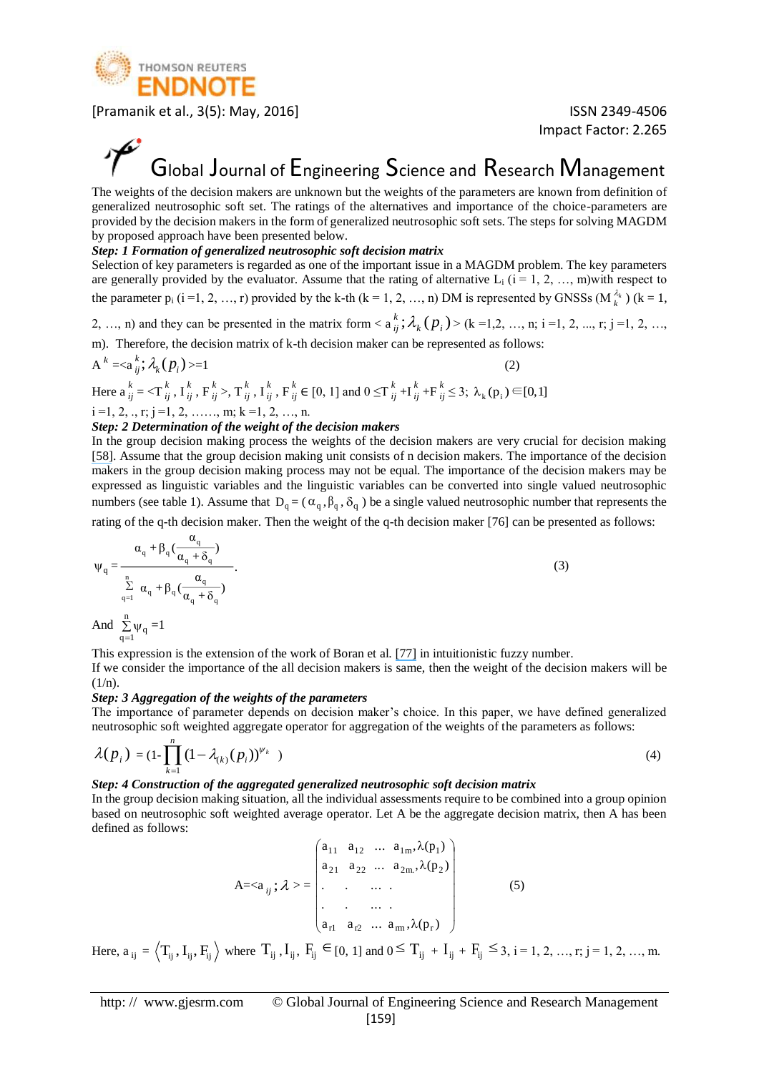

Impact Factor: 2.265

### Global Journal of Engineering Science and Research Management

The weights of the decision makers are unknown but the weights of the parameters are known from definition of generalized neutrosophic soft set. The ratings of the alternatives and importance of the choice-parameters are provided by the decision makers in the form of generalized neutrosophic soft sets. The steps for solving MAGDM by proposed approach have been presented below.

#### *Step: 1 Formation of generalized neutrosophic soft decision matrix*

Selection of key parameters is regarded as one of the important issue in a MAGDM problem. The key parameters are generally provided by the evaluator. Assume that the rating of alternative  $L_i$  ( $i = 1, 2, ..., m$ )with respect to the parameter  $p_i$  ( $i = 1, 2, ..., r$ ) provided by the k-th ( $k = 1, 2, ..., n$ ) DM is represented by GNSSs ( $M_k^{\lambda_k}$  $\lambda_k^{\lambda_k}$ ) (k = 1,

2, ..., n) and they can be presented in the matrix form  $\langle a_{ii}^k; \lambda_k(p_i) \rangle$  $k_i^k$ ;  $\lambda_k(p_i)$  > (k =1,2, ..., n; i =1, 2, ..., r; j =1, 2, ...,

m). Therefore, the decision matrix of k-th decision maker can be represented as follows:

$$
A^k = \langle a_{ij}^k; \lambda_k(p_i) \rangle = 1 \tag{2}
$$

Here 
$$
a_{ij}^k = \langle T_{ij}^k, I_{ij}^k, F_{ij}^k \rangle
$$
,  $T_{ij}^k, I_{ij}^k, F_{ij}^k \in [0, 1]$  and  $0 \le T_{ij}^k + I_{ij}^k + F_{ij}^k \le 3$ ;  $\lambda_k(p_i) \in [0, 1]$ 

$$
i=1, 2, ., r; j=1, 2, . . . . ., m; k=1, 2, . . ., n.
$$

#### *Step: 2 Determination of the weight of the decision makers*

In the group decision making process the weights of the decision makers are very crucial for decision making [\[58\]](https://www.researchgate.net/publication/280021714_Grey_Relational_Analysis_based_Intuitionistic_Fuzzy_Multi-Criteria_Group_Decision-Making_Approach_for_Teacher_Selection_in_Higher_Education?el=1_x_8&enrichId=rgreq-c69a0d483fc4bb296ed5651ffe1ef4b5-XXX&enrichSource=Y292ZXJQYWdlOzMwMzY2NzQ1NTtBUzozODYyODI3MjAxMjA4MzRAMTQ2OTEwODM4NTgwOA==). Assume that the group decision making unit consists of n decision makers. The importance of the decision makers in the group decision making process may not be equal. The importance of the decision makers may be expressed as linguistic variables and the linguistic variables can be converted into single valued neutrosophic numbers (see table 1). Assume that  $D_q = (\alpha_q, \beta_q, \delta_q)$  be a single valued neutrosophic number that represents the

rating of the q-th decision maker. Then the weight of the q-th decision maker [76] can be presented as follows:

$$
\Psi_{q} = \frac{\alpha_{q} + \beta_{q}(\frac{\alpha_{q}}{\alpha_{q} + \delta_{q}})}{\sum_{\substack{q=1 \ \alpha_{q} + \beta_{q}(\frac{\alpha_{q}}{\alpha_{q} + \delta_{q}})}}.
$$
\n(3)

And  $\sum_{q=1}$   $\psi$  $\sum_{q=1}$   $\psi_q = 1$ 

This expression is the extension of the work of Boran et al. [\[77\]](https://www.researchgate.net/publication/220219761_A_multi-criteria_intuitionistic_Fuzzy_group_decision_making_for_supplier_selection_with_TOPSIS_method?el=1_x_8&enrichId=rgreq-c69a0d483fc4bb296ed5651ffe1ef4b5-XXX&enrichSource=Y292ZXJQYWdlOzMwMzY2NzQ1NTtBUzozODYyODI3MjAxMjA4MzRAMTQ2OTEwODM4NTgwOA==) in intuitionistic fuzzy number.

If we consider the importance of the all decision makers is same, then the weight of the decision makers will be  $(1/n)$ .

#### *Step: 3 Aggregation of the weights of the parameters*

The importance of parameter depends on decision maker's choice. In this paper, we have defined generalized neutrosophic soft weighted aggregate operator for aggregation of the weights of the parameters as follows:

$$
\lambda(p_i) = (1 - \prod_{k=1}^n (1 - \lambda_{(k)}(p_i))^{\psi_k})
$$
\n(4)

#### *Step: 4 Construction of the aggregated generalized neutrosophic soft decision matrix*

In the group decision making situation, all the individual assessments require to be combined into a group opinion based on neutrosophic soft weighted average operator. Let A be the aggregate decision matrix, then A has been defined as follows:

$$
A = \langle a_{ij} ; \lambda \rangle = \begin{pmatrix} a_{11} & a_{12} & \dots & a_{1m}, \lambda(p_1) \\ a_{21} & a_{22} & \dots & a_{2m}, \lambda(p_2) \\ \vdots & \vdots & \ddots & \vdots \\ a_{r1} & a_{r2} & \dots & a_{rm}, \lambda(p_r) \end{pmatrix}
$$
 (5)

Here,  $a_{ij} = \langle T_{ij}, I_{ij}, F_{ij} \rangle$  where  $T_{ij}, I_{ij}, F_{ij} \in [0, 1]$  and  $0 \le T_{ij} + I_{ij} + F_{ij} \le 3$ ,  $i = 1, 2, ..., r; j = 1, 2, ..., m$ .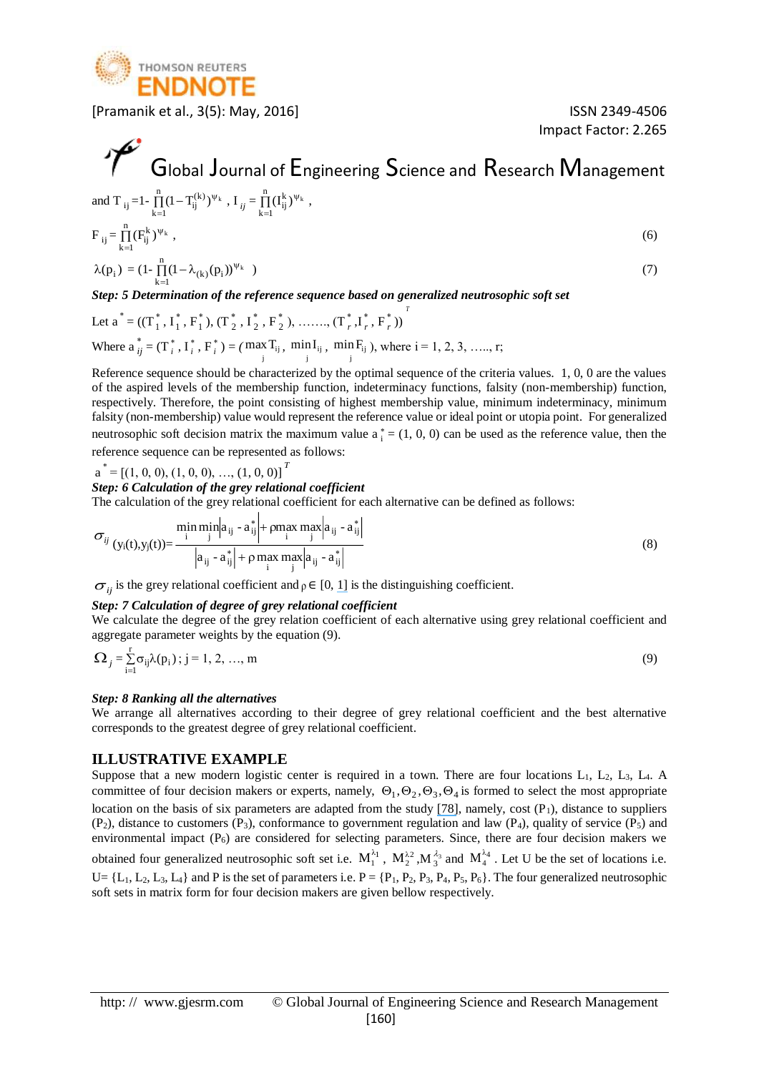

Impact Factor: 2.265

#### Global Journal of Engineering Science and Research Management and T<sub>ij</sub>=1- $\prod_{k=1}$ (1-Ψ  $k = 1$  $(1-\mathsf{T}_{ij}^{(k)})^{\psi_k}$  ,  $\mathsf{I}_{ij} = \prod_{k=1}^{n}$  $\frac{n}{\sqrt{1}}$  $k = 1$  $(I_{ij}^k)^{\psi_k}$ ,  $F_{ij} = \prod_{k=1}^{n}$  $\frac{n}{\mathbf{u}}$  ( $\mathbf{E}^k$ )  $\Psi$  $k = 1$  $\binom{k}{i}$ <sup>V<sub>k</sub></sup>  $(F<sub>i</sub><sup>K</sup>)<sup>\Psi<sub>K</sub></sup>$ , (6)  $\lambda(p_i) = (1 - \prod_{i=1}^{n} (1 - \lambda_{(k)}(p_i))^{\Psi}$  $\prod_{k=1} (1 - \lambda_{(k)}(p_i))^{\Psi_k}$ )  $(7)$

*Step: 5 Determination of the reference sequence based on generalized neutrosophic soft set*

Let 
$$
a^* = ((T_1^*, I_1^*, F_1^*), (T_2^*, I_2^*, F_2^*), \dots, (T_r^*, I_r^*, F_r^*))^T
$$
  
Where  $a_{ij}^* = (T_i^*, I_i^*, F_i^*) = (\max_i T_{ij}, \min_i I_{ij}, \min_i F_{ij})$ , where  $i = 1, 2, 3, \dots, r$ ;

Reference sequence should be characterized by the optimal sequence of the criteria values. 1, 0, 0 are the values of the aspired levels of the membership function, indeterminacy functions, falsity (non-membership) function, respectively. Therefore, the point consisting of highest membership value, minimum indeterminacy, minimum falsity (non-membership) value would represent the reference value or ideal point or utopia point. For generalized neutrosophic soft decision matrix the maximum value  $a_i^* = (1, 0, 0)$  can be used as the reference value, then the

reference sequence can be represented as follows:

 $a^* = [(1, 0, 0), (1, 0, 0), ..., (1, 0, 0)]^T$ 

#### *Step: 6 Calculation of the grey relational coefficient*

The calculation of the grey relational coefficient for each alternative can be defined as follows:

$$
\sigma_{ij} \frac{\min_{(y_i(t), y_j(t)) = \frac{1}{|a_{ij} - a_{ij}^*| + \rho \max_{i} \max_{j} |a_{ij} - a_{ij}^*|}}{ |a_{ij} - a_{ij}^*| + \rho \max_{i} \max_{j} |a_{ij} - a_{ij}^*| }
$$
(8)

 $\sigma_{ij}$  is the grey relational coefficient and  $\rho \in [0, 1]$  is the distinguishing coefficient.

#### *Step: 7 Calculation of degree of grey relational coefficient*

We calculate the degree of the grey relation coefficient of each alternative using grey relational coefficient and aggregate parameter weights by the equation (9).

$$
\Omega_{j} = \sum_{i=1}^{r} \sigma_{ij} \lambda(p_i) ; j = 1, 2, ..., m
$$
\n(9)

#### *Step: 8 Ranking all the alternatives*

We arrange all alternatives according to their degree of grey relational coefficient and the best alternative corresponds to the greatest degree of grey relational coefficient.

#### **ILLUSTRATIVE EXAMPLE**

Suppose that a new modern logistic center is required in a town. There are four locations  $L_1$ ,  $L_2$ ,  $L_3$ ,  $L_4$ . A committee of four decision makers or experts, namely,  $\Theta_1, \Theta_2, \Theta_3, \Theta_4$  is formed to select the most appropriate location on the basis of six parameters are adapted from the study  $[78]$ , namely, cost  $(P_1)$ , distance to suppliers  $(P_2)$ , distance to customers  $(P_3)$ , conformance to government regulation and law  $(P_4)$ , quality of service  $(P_5)$  and environmental impact (P<sub>6</sub>) are considered for selecting parameters. Since, there are four decision makers we obtained four generalized neutrosophic soft set i.e.  $M_1^{\lambda_1}$ ,  $M_2^{\lambda_2}$ ,  $M_3^{\lambda_3}$  $\frac{\lambda_3}{3}$  and  $M_4^{\lambda_4}$ . Let U be the set of locations i.e.  $U = \{L_1, L_2, L_3, L_4\}$  and P is the set of parameters i.e.  $P = \{P_1, P_2, P_3, P_4, P_5, P_6\}$ . The four generalized neutrosophic soft sets in matrix form for four decision makers are given bellow respectively.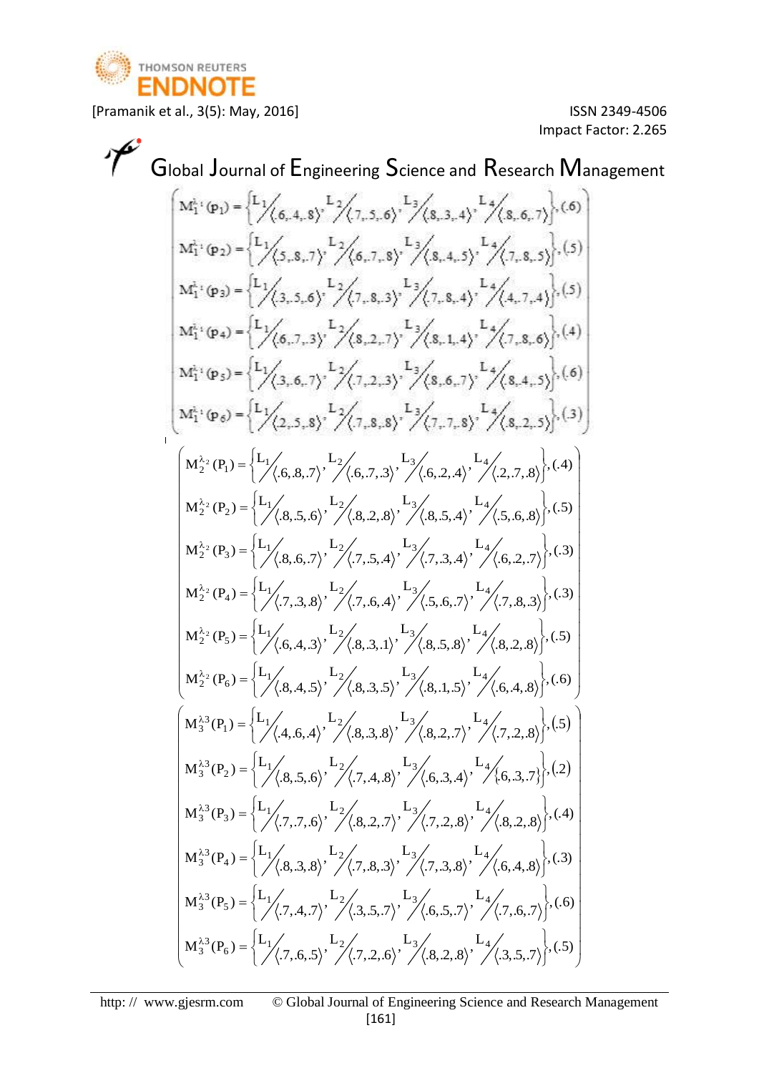

 $\overline{1}$ 

[Pramanik et al., 3(5): May, 2016] ISSN 2349-4506

Impact Factor: 2.265

Global Journal of Engineering Science and Research Management

$$
\begin{bmatrix}\nM_{1}^{A_{1}}(p_{1}) =\n\begin{bmatrix}\nL_{1} & L_{2} & L_{3} & L_{4} \\
L_{3} & L_{4} & L_{5} & L_{6,1,1}\n\end{bmatrix}, (5) \\
M_{1}^{A_{1}}(p_{2}) =\n\begin{bmatrix}\nL_{1} & L_{3} & L_{2} \\
L_{1} & L_{3} & L_{1} \\
L_{2} & L_{2} & L_{3}\n\end{bmatrix}, (6) \\
M_{1}^{A_{1}}(p_{3}) =\n\begin{bmatrix}\nL_{1} & L_{3} & L_{4} \\
L_{1} & L_{3} & L_{5}\n\end{bmatrix},\n\begin{bmatrix}\nL_{2} & L_{3} & L_{4} \\
L_{1} & L_{1} & L_{1} \\
L_{2} & L_{2} & L_{3}\n\end{bmatrix}, (5) \\
M_{1}^{A_{1}}(p_{4}) =\n\begin{bmatrix}\nL_{1} & L_{3} & L_{4} \\
L_{1} & L_{2} & L_{3} & L_{4} \\
L_{2} & L_{3} & L_{5}\n\end{bmatrix}, (6) \\
M_{1}^{A_{1}}(p_{5}) =\n\begin{bmatrix}\nL_{1} & L_{3} & L_{3} \\
L_{2} & L_{3} & L_{5}\n\end{bmatrix},\n\begin{bmatrix}\nL_{1} & L_{3} & L_{3} \\
L_{1} & L_{2} & L_{3} & L_{5}\n\end{bmatrix}, (6) \\
M_{1}^{A_{1}}(p_{5}) =\n\begin{bmatrix}\nL_{1} & L_{3} & L_{3} \\
L_{2} & L_{3} & L_{5}\n\end{bmatrix},\n\begin{bmatrix}\nL_{2} & L_{3} & L_{3} \\
L_{1} & L_{1} & L_{1} & L_{1} \\
L_{2} & L_{2} & L_{3}\n\end{bmatrix},\n\begin{bmatrix}\nL_{1} & L_{1} & L_{1} \\
L_{1} & L_{2} & L_{3} & L_{5}\n\end{bmatrix}, (6) \\
M_{1}^{A_{1}}(p_{5}) =\n\begin{bmatrix}\nL_{1} & L_{3} & L_{3} \\
L_{1} & L_{2} & L_{3} & L_{5}\n\end{bmatrix},\n\begin{bmatrix}\nL_{1} & L_{1} & L_{1} \\
L_{1} & L
$$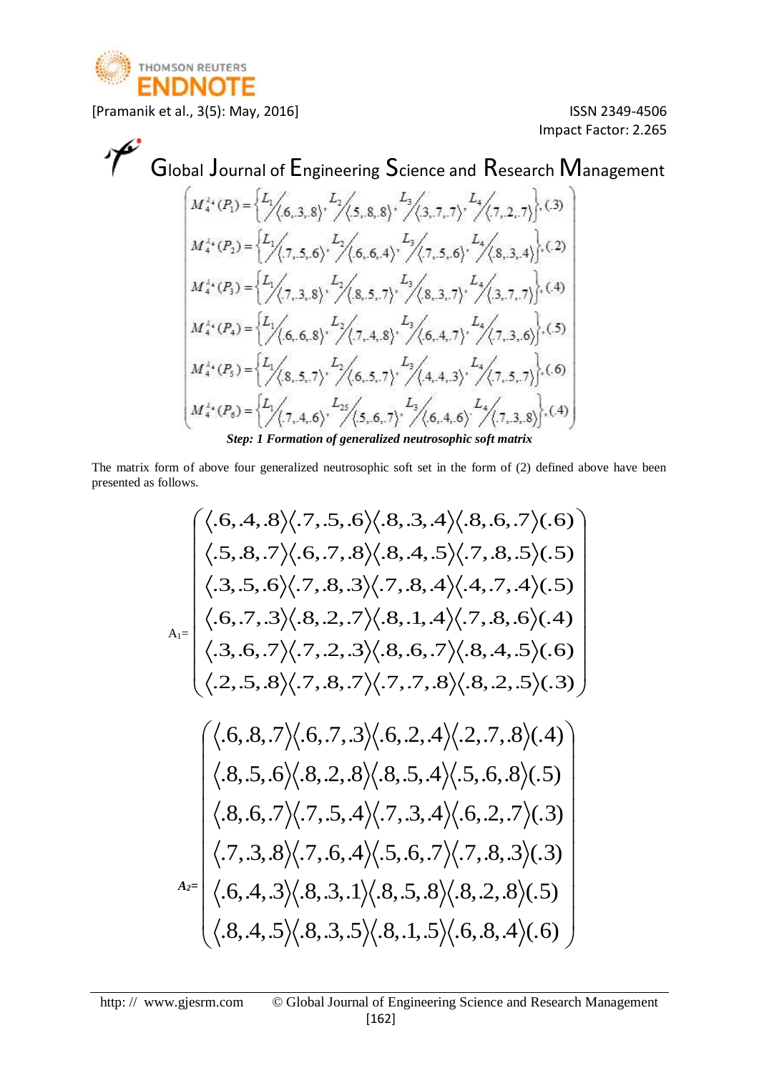

Impact Factor: 2.265

 

# Global Journal of Engineering Science and Research Management

$$
\begin{bmatrix}\nM_4^{2*}(P_1) = \n\begin{cases}\nL_1 \\
\sqrt{(6,3,8)}, \n\end{cases}\n\begin{bmatrix}\nL_2 \\
\sqrt{(5,8,8)}, \n\end{bmatrix}\n\begin{bmatrix}\nL_3 \\
\sqrt{(7,2,7)}, \n\end{bmatrix}\n\begin{bmatrix}\nC_3\n\end{bmatrix}\n\\
M_4^{2*}(P_2) = \n\begin{cases}\nL_1 \\
\sqrt{(7,5,6)}, \n\end{cases}\n\begin{cases}\nL_2 \\
\sqrt{(6,6,4)}, \n\end{cases}\n\begin{cases}\nL_3 \\
\sqrt{(7,5,6)}, \n\end{cases}\n\begin{cases}\nL_4 \\
\sqrt{(8,3,7)}, \n\end{cases}\n\begin{cases}\nL_5 \\
\sqrt{(8,3,7)}, \n\end{cases}\n\begin{cases}\nL_6 \\
\sqrt{(8,3,7)}, \n\end{cases}\n\begin{cases}\nL_7 \\
\sqrt{(8,5,7)}, \n\end{cases}\n\begin{cases}\nL_8 \\
\sqrt{(6,4,7)}, \n\end{cases}\n\begin{cases}\nL_9 \\
\sqrt{(7,3,6)}, \n\end{cases}\n\begin{cases}\nL_1 \\
\sqrt{(8,5,7)}, \n\end{cases}\n\begin{cases}\nL_2 \\
\sqrt{(6,5,7)}, \n\end{cases}\n\begin{cases}\nL_3 \\
\sqrt{(4,4,3)}, \n\end{cases}\n\begin{cases}\nL_4 \\
\sqrt{(7,5,7)}, \n\end{cases}\n\begin{cases}\nL_5 \\
\sqrt{(7,4,6)}, \n\end{cases}\n\begin{cases}\nL_7 \\
\sqrt{(5,6,7)}, \n\end{cases}\n\begin{cases}\nL_8 \\
\sqrt{(7,5,7)}, \n\end{cases}\n\begin{cases}\nL_9 \\
\sqrt{(7,7,4,6)}, \n\end{cases}\n\begin{cases}\nL_9 \\
\sqrt{(5,6,7)}, \n\end{cases}\n\begin{cases}\nL_9 \\
\sqrt{(7,7,3,8)}, \n\end{cases}\n\begin{cases}\nL_1 \\
\sqrt{(7,7,4,6)}, \n\end{cases}\n\begin{cases}\nL_3 \\
\sqrt{(5,6,7)}, \n\end{cases}\n\begin{cases}\nL_4 \\
\sqrt{(7,7,3,8)}, \n\end{cases}\n\begin{cases}\nL_6 \\
\sqrt{(7,7,8
$$

The matrix form of above four generalized neutrosophic soft set in the form of (2) defined above have been presented as follows.

$$
A_{1} = \begin{pmatrix} \langle .6, .4, .8 \rangle \langle .7, .5, .6 \rangle \langle .8, .3, .4 \rangle \langle .8, .6, .7 \rangle \langle .6) \\ \langle .5, .8, .7 \rangle \langle .6, .7, .8 \rangle \langle .8, .4, .5 \rangle \langle .7, .8, .5 \rangle \langle .5) \\ \langle .3, .5, .6 \rangle \langle .7, .8, .3 \rangle \langle .7, .8, .4 \rangle \langle .4, .7, .4 \rangle \langle .5) \\ \langle .6, .7, .3 \rangle \langle .8, .2, .7 \rangle \langle .8, .1, .4 \rangle \langle .7, .8, .6 \rangle \langle .4) \\ \langle .3, .6, .7 \rangle \langle .7, .2, .3 \rangle \langle .8, .6, .7 \rangle \langle .8, .4, .5 \rangle \langle .6) \\ \langle .2, .5, .8 \rangle \langle .7, .8, .7 \rangle \langle .7, .7, .8 \rangle \langle .8, .2, .5 \rangle \langle .3) \end{pmatrix}
$$

$$
\begin{pmatrix} \langle .6, .8, .7 \rangle \langle .6, .7, .3 \rangle \langle .6, .2, .4 \rangle \langle .2, .7, .8 \rangle \langle .4) \\ \langle .8, .5, .6 \rangle \langle .8, .2, .8 \rangle \langle .8, .5, .4 \rangle \langle .5, .6, .8 \rangle \langle .5) \\ \langle .8, .6, .7 \rangle \langle .7, .5, .4 \rangle \langle .7, .3, .4 \rangle \langle .6, .2, .7 \rangle \langle .3) \\ \langle .7, .3, .8 \rangle \langle .7, .6, .4 \rangle \langle .5, .6, .7 \rangle \langle .7, .8, .3 \rangle \langle .3) \end{pmatrix}
$$

$$
A_{2} = \begin{pmatrix} \langle .6, .4, .3 \rangle \langle .8, .3, .1 \rangle \langle .8, .5, .8 \rangle \langle .8, .2, .8 \rangle \langle .5) \\ \langle .6, .4, .3 \rangle \langle .8, .3, .1 \rangle \langle .8, .5, .8 \rangle \langle .8, .2, .8 \rangle \langle .5) \\ \langle .8, .4, .5 \rangle \langle .8, .3, .5 \rangle \langle .8, .1, .5 \rangle \langle .6, .8, .4 \rangle \langle .6) \end{pmatrix}
$$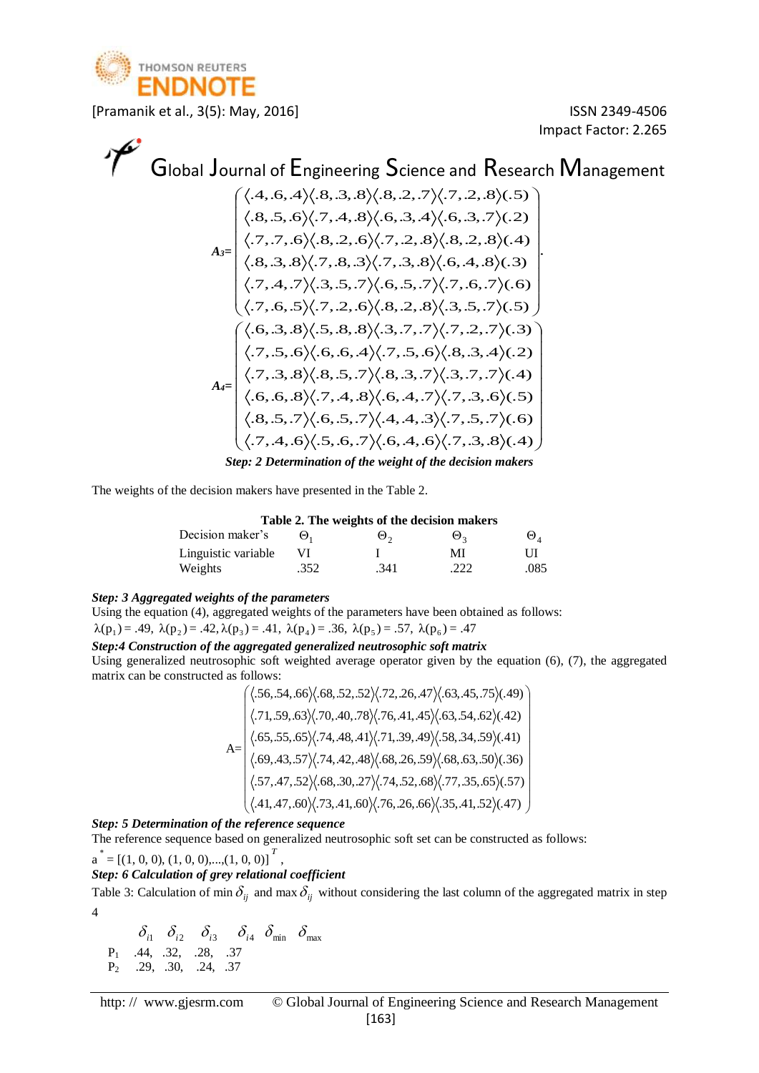

Impact Factor: 2.265

# Global Journal of Engineering Science and Research Management

*A3=* .  $.7, .6, .5 \, \langle .7, .2, .6 \rangle \langle .8, .2, .8 \rangle \langle .3, .5, .7 \rangle \langle .5 \rangle$  $.7, .4, .7 \rangle \langle .3, .5, .7 \rangle \langle .6, .5, .7 \rangle \langle .7, .6, .7 \rangle \langle .6 \rangle$  $.8, .3, .8 \rangle \langle .7, .8, .3 \rangle \langle .7, .3, .8 \rangle \langle .6, .4, .8 \rangle \langle .3 \rangle$  $.7, .7, .6 \rangle \langle .8, .2, .6 \rangle \langle .7, .2, .8 \rangle \langle .8, .2, .8 \rangle \langle .4 \rangle$  $.8, .5, .6 \rangle \langle .7, .4, .8 \rangle \langle .6, .3, .4 \rangle \langle .6, .3, .7 \rangle \langle .2 \rangle$  $\left( \langle .4, .6, .4 \rangle \langle .8, .3, .8 \rangle \langle .8, .2, .7 \rangle \langle .7, .2, .8 \rangle \langle .5) \right)$ J I I I I I I I I L *A4=*  $\overline{\phantom{a}}$  $\overline{\phantom{a}}$  $\overline{\phantom{a}}$  $\overline{\phantom{a}}$  $\overline{\phantom{a}}$  $\overline{\phantom{a}}$  $\overline{\phantom{a}}$  $\overline{\phantom{a}}$  $\overline{\phantom{a}}$  $\int$  $\langle .6, .3, .8 \rangle \langle .5, .8, .8 \rangle \langle .3, .7, .7 \rangle \langle .7, .2, .7 \rangle (0.3)$  $\mathsf{I}$  $\mathbf{r}$  $\mathbf{I}$  $\mathbf{I}$  $\mathbf{I}$  $\mathbf{I}$  $\mathbf{I}$  $\mathbf{I}$ ſ  $\begin{aligned} &\Big\{ \langle .8,.5,.7 \rangle \langle .6,.5,.7 \rangle \langle .4,.4,.3 \rangle \langle .7,.5,.7 \rangle \langle .6 \rangle \ &\Big\langle .7,.4,.6 \big\rangle \langle .5,.6,.7 \big\rangle \langle .6,.4,.6 \big\rangle \langle .7,.3,.8 \rangle \langle .4 \rangle \end{aligned}$  $\begin{aligned} \Big( \big\langle .7, .6, .5 \big\rangle \! \big\langle .7, .2, .6 \big\rangle \! \big\langle .8, .2, .8 \big\rangle \! \big\langle .3, .5, .7 \big\rangle \! (.5) \Big) \ & \Big( \big\langle .6, .3, .8 \big\rangle \! \big\langle .5, .8, .8 \big\rangle \! \big\langle .3, .7, .7 \big\rangle \! \big\langle .7, .2, .7 \big\rangle \! (.3) \Big) \end{aligned}$  $.6, .6, .8 \rangle \langle .7, .4, .8 \rangle \langle .6, .4, .7 \rangle \langle .7, .3, .6 \rangle \langle .5)$ <br> $.8, .5, .7 \rangle \langle .6, .5, .7 \rangle \langle .4, .4, .3 \rangle \langle .7, .5, .7 \rangle \langle .6)$  $(0.7, 0.3, 0.8) \langle 0.8, 0.5, 0.7 \rangle (0.8, 0.3, 0.7) \langle 0.3, 0.7, 0.7 \rangle (0.4)$ <br> $(0.6, 0.6, 0.8) \langle 0.7, 0.4, 0.8 \rangle (0.6, 0.4, 0.7) \langle 0.7, 0.3, 0.6 \rangle (0.5)$  $.7, .5, .6 \rangle \langle .6, .6, .4 \rangle \langle .7, .5, .6 \rangle \langle .8, .3, .4 \rangle \langle .2 \rangle$ .7, .3, .8 $\rangle \langle .8, .5, .7 \rangle \langle .8, .3, .7 \rangle \langle .3, .7, .7 \rangle \langle .4 \rangle$  $\langle 0.6, 3, 0.8 \rangle \langle 0.5, 0.8 \rangle \langle 0.3, 0.7, 0.7 \rangle \langle 0.7, 0.2, 0.7 \rangle \langle 0.3 \rangle$ <br> $\langle 0.7, 0.5, 0.6 \rangle \langle 0.6, 0.4 \rangle \langle 0.7, 0.5, 0.6 \rangle \langle 0.8, 0.3, 0.4 \rangle \langle 0.2 \rangle$ *Step: 2 Determination of the weight of the decision makers*

The weights of the decision makers have presented in the Table 2.

**Table 2. The weights of the decision makers**

| Decision maker's    | Θ.   | ⊎ົ   | $\Theta$ , | $\mathbf{\Theta}_A$ |
|---------------------|------|------|------------|---------------------|
| Linguistic variable |      |      | MI         |                     |
| Weights             | .352 | .341 | .222       | .085                |

#### *Step: 3 Aggregated weights of the parameters*

Using the equation (4), aggregated weights of the parameters have been obtained as follows:  $\lambda(p_1) = .49, \ \lambda(p_2) = .42, \lambda(p_3) = .41, \ \lambda(p_4) = .36, \ \lambda(p_5) = .57, \ \lambda(p_6) = .47$ 

#### *Step:4 Construction of the aggregated generalized neutrosophic soft matrix*

Using generalized neutrosophic soft weighted average operator given by the equation (6), (7), the aggregated matrix can be constructed as follows:

as follows:  
\n
$$
A = \begin{pmatrix} \langle .56, .54, .66 \rangle \langle .68, .52, .52 \rangle \langle .72, .26, .47 \rangle \langle .63, .45, .75 \rangle \langle .49 \rangle \\ \langle .71, .59, .63 \rangle \langle .70, .40, .78 \rangle \langle .76, .41, .45 \rangle \langle .63, .54, .62 \rangle \langle .42 \rangle \\ \langle .65, .55, .65 \rangle \langle .74, .48, .41 \rangle \langle .71, .39, .49 \rangle \langle .58, .34, .59 \rangle \langle .41 \rangle \\ \langle .69, .43, .57 \rangle \langle .74, .42, .48 \rangle \langle .68, .26, .59 \rangle \langle .68, .63, .50 \rangle \langle .36 \rangle \\ \langle .57, .47, .52 \rangle \langle .68, .30, .27 \rangle \langle .74, .52, .68 \rangle \langle .77, .35, .65 \rangle \langle .57 \rangle \\ \langle .41, .47, .60 \rangle \langle .73, .41, .60 \rangle \langle .76, .26, .66 \rangle \langle .35, .41, .52 \rangle \langle .47 \rangle \end{pmatrix}
$$

*Step: 5 Determination of the reference sequence*

The reference sequence based on generalized neutrosophic soft set can be constructed as follows:

 $a^* = [(1, 0, 0), (1, 0, 0), ..., (1, 0, 0)]^T$ ,

*Step: 6 Calculation of grey relational coefficient*

Table 3: Calculation of min  $\delta_{ij}$  and max  $\delta_{ij}$  without considering the last column of the aggregated matrix in step 4

 $\delta_{i1}$   $\delta_{i2}$   $\delta_{i3}$   $\delta_{i4}$   $\delta_{\min}$   $\delta_{\max}$  P1 .44, .32, .28, .37 P2 .29, .30, .24, .37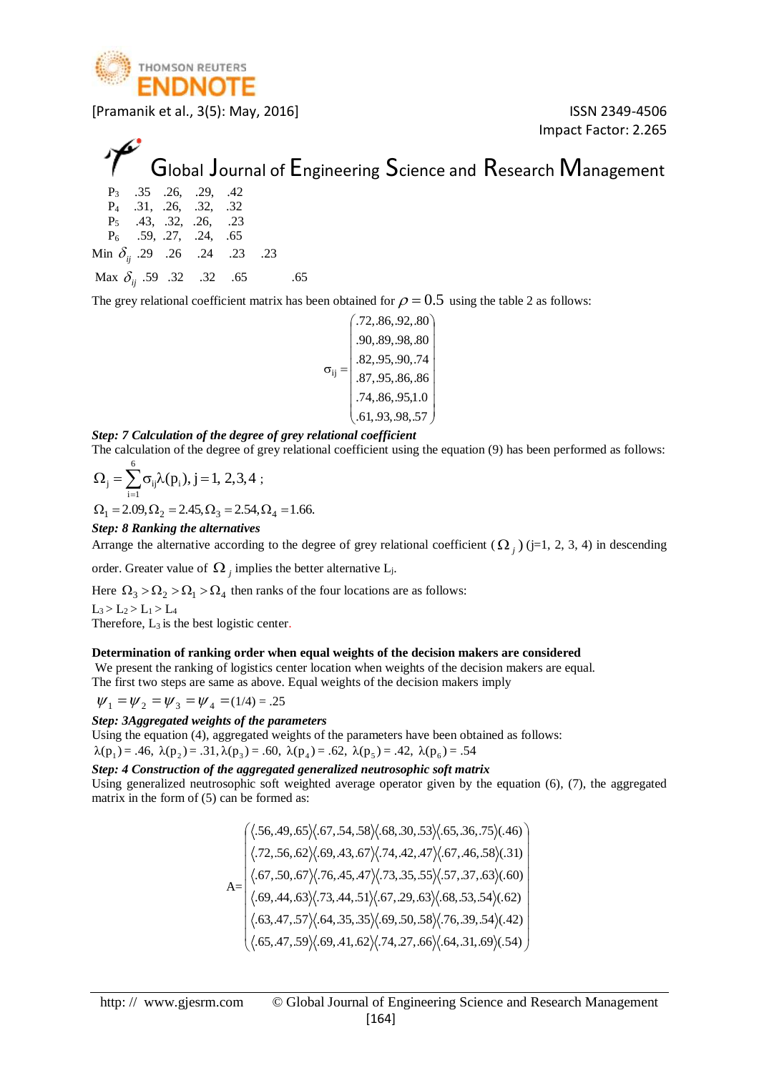

Impact Factor: 2.265

## Global Journal of Engineering Science and Research Management

|                                       |  | $P_3$ .35 .26, .29, .42  |  |     |
|---------------------------------------|--|--------------------------|--|-----|
|                                       |  | $P_4$ .31, .26, .32, .32 |  |     |
|                                       |  | $P_5$ .43, .32, .26, .23 |  |     |
|                                       |  | $P_6$ .59, .27, .24, .65 |  |     |
| Min $\delta_{ii}$ .29 .26 .24 .23 .23 |  |                          |  |     |
| Max $\delta_{ii}$ .59 .32 .32 .65     |  |                          |  | .65 |

The grey relational coefficient matrix has been obtained for  $\rho$  =  $0.5\,$  using the table 2 as follows:

I I I I .61,.93,.98,.57  $\backslash$ I I I I I I .90,.89,.98,.80 I l ſ  $\sigma_{ij} = |$  .87, .95, .86, .86 .74,.86,.95,1.0 .82,.95,.90,.74 .72,.86,.92,.80 ij

#### *Step: 7 Calculation of the degree of grey relational coefficient*

The calculation of the degree of grey relational coefficient using the equation (9) has been performed as follows:

$$
\Omega_{j} = \sum_{i=1}^{6} \sigma_{ij} \lambda(p_{i}), j = 1, 2, 3, 4 ;
$$
  
\n
$$
\Omega_{1} = 2.09, \Omega_{2} = 2.45, \Omega_{3} = 2.54, \Omega_{4} = 1.66.
$$

Step: 
$$
8
$$
 *Ranking the alternatives*

Arrange the alternative according to the degree of grey relational coefficient  $(\Omega_j)$  (j=1, 2, 3, 4) in descending

order. Greater value of  $\Omega_j$  implies the better alternative L<sub>j</sub>.

Here  $\Omega_3 > \Omega_2 > \Omega_1 > \Omega_4$  then ranks of the four locations are as follows:

 $L_3 > L_2 > L_1 > L_4$ 

Therefore,  $L_3$  is the best logistic center.

#### **Determination of ranking order when equal weights of the decision makers are considered**

We present the ranking of logistics center location when weights of the decision makers are equal. The first two steps are same as above. Equal weights of the decision makers imply

$$
\psi_1 = \psi_2 = \psi_3 = \psi_4 = (1/4) = .25
$$

*Step: 3Aggregated weights of the parameters*

Using the equation (4), aggregated weights of the parameters have been obtained as follows:

 $λ(p_1) = .46, λ(p_2) = .31, λ(p_3) = .60, λ(p_4) = .62, λ(p_5) = .42, λ(p_6) = .54$ 

*Step: 4 Construction of the aggregated generalized neutrosophic soft matrix*

Using generalized neutrosophic soft weighted average operator given by the equation (6), (7), the aggregated matrix in the form of (5) can be formed as:

> $A=$ I I I I .65, .47, .59) $\langle .69, .41, .62\rangle\langle .74, .27, .66\rangle\langle .64, .31, .69\rangle\langle .54\rangle$   $/$  $\backslash$ L I I I L I L I  $\int$ l .63, .47, .57 \(.64, .35, .35 \(.69, .50, .58 \(.76, .39, .54 \(.42) .69, .44, .63) $\langle .73, .44, .51\rangle \langle .67, .29, .63\rangle \langle .68, .53, .54\rangle \langle .62\rangle$ .67, .50, .67  $\langle .76, .45, .47 \rangle \langle .73, .35, .55 \rangle \langle .57, .37, .63 \rangle \langle .60 \rangle$ .72, .56, .62) $\langle .69, .43, .67 \rangle \langle .74, .42, .47 \rangle \langle .67, .46, .58 \rangle \langle .31 \rangle$ .56, .49, .65  $\langle$  .67, .54, .58  $\rangle$  .68, .30, .53  $\rangle$  .65, .36, .75  $\rangle$  .46)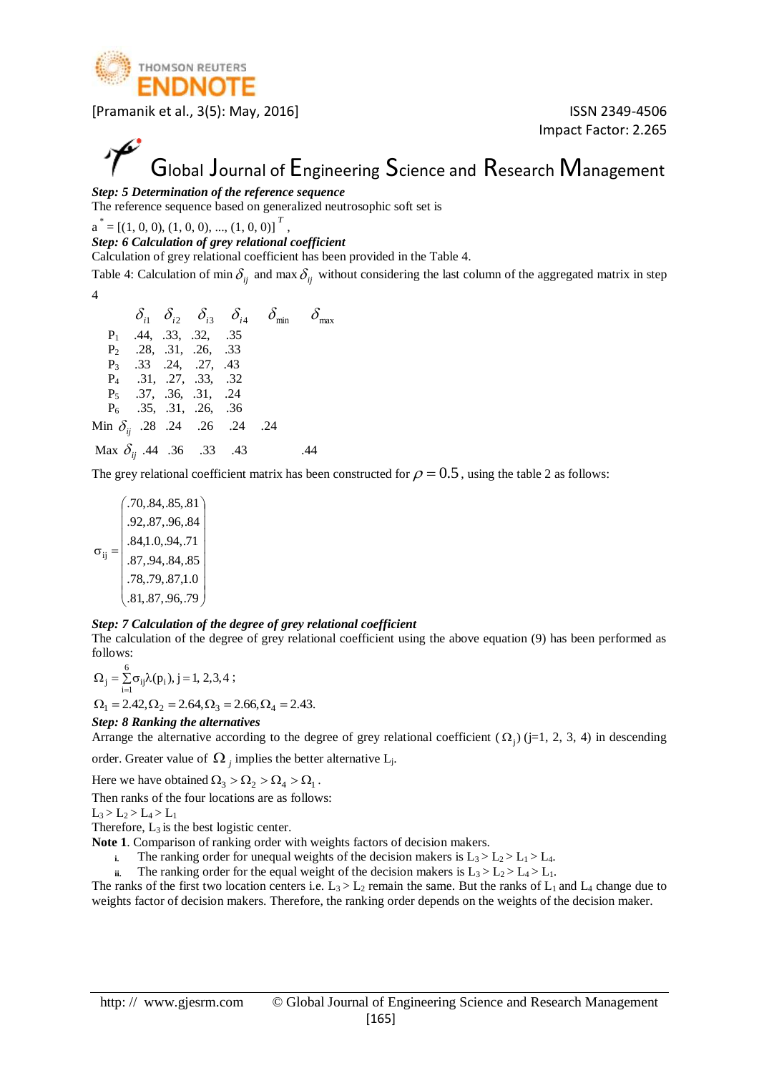

Impact Factor: 2.265

## Global Journal of Engineering Science and Research Management

#### *Step: 5 Determination of the reference sequence*

The reference sequence based on generalized neutrosophic soft set is

 $a^* = [(1, 0, 0), (1, 0, 0), ..., (1, 0, 0)]^T$ 

*Step: 6 Calculation of grey relational coefficient*

Calculation of grey relational coefficient has been provided in the Table 4.

,

Table 4: Calculation of min  $\delta_{ij}$  and max  $\delta_{ij}$  without considering the last column of the aggregated matrix in step 4

|                                       |  |                                  |  | $\delta_{i1}$ $\delta_{i2}$ $\delta_{i3}$ $\delta_{i4}$ $\delta_{\min}$ $\delta_{\max}$ |
|---------------------------------------|--|----------------------------------|--|-----------------------------------------------------------------------------------------|
|                                       |  | $P_1$ .44, .33, .32, .35         |  |                                                                                         |
|                                       |  | $P_2$ .28, .31, .26, .33         |  |                                                                                         |
|                                       |  | P <sub>3</sub> .33 .24, .27, .43 |  |                                                                                         |
|                                       |  | $P_4$ .31, .27, .33, .32         |  |                                                                                         |
|                                       |  | $P_5$ .37, .36, .31, .24         |  |                                                                                         |
|                                       |  | $P_6$ .35, .31, .26, .36         |  |                                                                                         |
| Min $\delta_{ii}$ .28 .24 .26 .24 .24 |  |                                  |  |                                                                                         |
| Max $\delta_{ii}$ .44 .36 .33 .43     |  |                                  |  |                                                                                         |

The grey relational coefficient matrix has been constructed for  $\rho$  =  $0.5$  , using the table 2 as follows:

١ I I I ▎ J  $\backslash$ L L L L L L .92,.87,.96,.84 L l ſ  $\sigma_{::} =$ .81,.87,.96,.79 .78,.79,.87,1.0 .87,.94,.84,.85 .84,1.0,.94,.71 .70,.84,.85,.81 ij

#### *Step: 7 Calculation of the degree of grey relational coefficient*

The calculation of the degree of grey relational coefficient using the above equation (9) has been performed as follows:

 $\sum_{i=1}^{6} \sigma_{ii} \lambda(p_i), j = 1, 2, 3, 4$  $\Omega_j = \sum_{i=1}^{\infty} \sigma_{ij} \lambda(p_i), j = 1, 2, 3, 4;$  $\Omega_1 = 2.42, \Omega_2 = 2.64, \Omega_3 = 2.66, \Omega_4 = 2.43.$ 

#### *Step: 8 Ranking the alternatives*

Arrange the alternative according to the degree of grey relational coefficient  $(\Omega_j)$  (j=1, 2, 3, 4) in descending order. Greater value of  $\Omega_j$  implies the better alternative L<sub>j</sub>.

Here we have obtained  $\Omega_3 > \Omega_2 > \Omega_4 > \Omega_1$ .

Then ranks of the four locations are as follows:

$$
L_3>L_2>L_4>L_1
$$

Therefore,  $L_3$  is the best logistic center.

- **Note 1**. Comparison of ranking order with weights factors of decision makers.
	- **i.** The ranking order for unequal weights of the decision makers is  $L_3 > L_2 > L_1 > L_4$ .
	- **ii.** The ranking order for the equal weight of the decision makers is  $L_3 > L_2 > L_4 > L_1$ .

The ranks of the first two location centers i.e.  $L_3 > L_2$  remain the same. But the ranks of  $L_1$  and  $L_4$  change due to weights factor of decision makers. Therefore, the ranking order depends on the weights of the decision maker.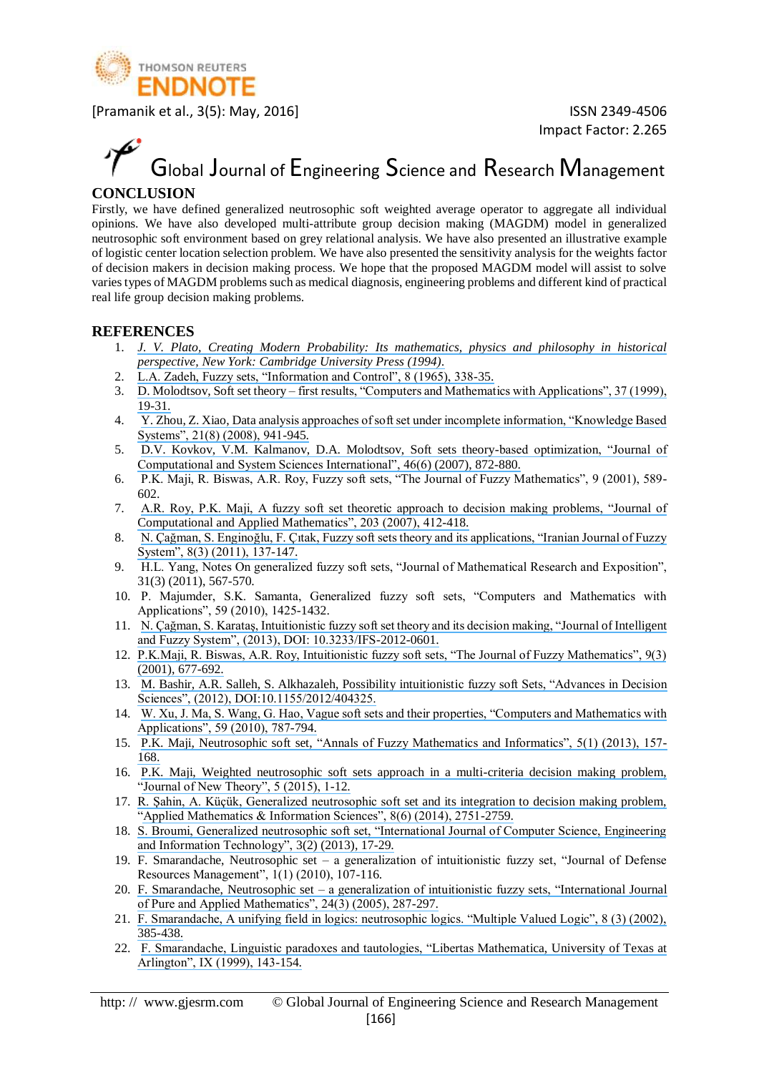

# Global Journal of Engineering Science and Research Management

#### **CONCLUSION**

Firstly, we have defined generalized neutrosophic soft weighted average operator to aggregate all individual opinions. We have also developed multi-attribute group decision making (MAGDM) model in generalized neutrosophic soft environment based on grey relational analysis. We have also presented an illustrative example of logistic center location selection problem. We have also presented the sensitivity analysis for the weights factor of decision makers in decision making process. We hope that the proposed MAGDM model will assist to solve varies types of MAGDM problems such as medical diagnosis, engineering problems and different kind of practical real life group decision making problems.

#### **REFERENCES**

- 1. *[J. V. Plato, Creating Modern Probability: Its mathematics, physics and philosophy in historical](https://www.researchgate.net/publication/266409681_Creating_modern_probability_Its_mathematics_physics_and_philosophy_in_historical_perspective_Repr?el=1_x_8&enrichId=rgreq-c69a0d483fc4bb296ed5651ffe1ef4b5-XXX&enrichSource=Y292ZXJQYWdlOzMwMzY2NzQ1NTtBUzozODYyODI3MjAxMjA4MzRAMTQ2OTEwODM4NTgwOA==) [perspective, New York: Cambridge University Press \(1994\).](https://www.researchgate.net/publication/266409681_Creating_modern_probability_Its_mathematics_physics_and_philosophy_in_historical_perspective_Repr?el=1_x_8&enrichId=rgreq-c69a0d483fc4bb296ed5651ffe1ef4b5-XXX&enrichSource=Y292ZXJQYWdlOzMwMzY2NzQ1NTtBUzozODYyODI3MjAxMjA4MzRAMTQ2OTEwODM4NTgwOA==)*
- 2. [L.A. Zadeh, Fuzzy sets, "Information and Control", 8 \(1965\), 338-35.](https://www.researchgate.net/publication/287711963_Fuzzy_sets_information_and_control?el=1_x_8&enrichId=rgreq-c69a0d483fc4bb296ed5651ffe1ef4b5-XXX&enrichSource=Y292ZXJQYWdlOzMwMzY2NzQ1NTtBUzozODYyODI3MjAxMjA4MzRAMTQ2OTEwODM4NTgwOA==)
- 3. D. Molodtsov, Soft set theory [first results, "Computers and Mathematics with Applications", 37 \(1999\),](https://www.researchgate.net/publication/280757924_Soft_set_theory_-_First_results?el=1_x_8&enrichId=rgreq-c69a0d483fc4bb296ed5651ffe1ef4b5-XXX&enrichSource=Y292ZXJQYWdlOzMwMzY2NzQ1NTtBUzozODYyODI3MjAxMjA4MzRAMTQ2OTEwODM4NTgwOA==) [19-31.](https://www.researchgate.net/publication/280757924_Soft_set_theory_-_First_results?el=1_x_8&enrichId=rgreq-c69a0d483fc4bb296ed5651ffe1ef4b5-XXX&enrichSource=Y292ZXJQYWdlOzMwMzY2NzQ1NTtBUzozODYyODI3MjAxMjA4MzRAMTQ2OTEwODM4NTgwOA==)
- 4. [Y. Zhou, Z. Xiao, Data analysis approaches of soft set under incomplete information, "Knowledge Based](https://www.researchgate.net/publication/223299778_Xiao_Z_Data_analysis_approaches_of_soft_sets_under_incomplete_information_Knowledge-Based_Syst_218_941-945?el=1_x_8&enrichId=rgreq-c69a0d483fc4bb296ed5651ffe1ef4b5-XXX&enrichSource=Y292ZXJQYWdlOzMwMzY2NzQ1NTtBUzozODYyODI3MjAxMjA4MzRAMTQ2OTEwODM4NTgwOA==) [Systems", 21\(8\) \(2008\), 941-945.](https://www.researchgate.net/publication/223299778_Xiao_Z_Data_analysis_approaches_of_soft_sets_under_incomplete_information_Knowledge-Based_Syst_218_941-945?el=1_x_8&enrichId=rgreq-c69a0d483fc4bb296ed5651ffe1ef4b5-XXX&enrichSource=Y292ZXJQYWdlOzMwMzY2NzQ1NTtBUzozODYyODI3MjAxMjA4MzRAMTQ2OTEwODM4NTgwOA==)
- 5. [D.V. Kovkov, V.M. Kalmanov, D.A. Molodtsov, Soft sets theory-based optimization, "Journal of](https://www.researchgate.net/publication/226470273_Soft_sets_theory-based_optimization?el=1_x_8&enrichId=rgreq-c69a0d483fc4bb296ed5651ffe1ef4b5-XXX&enrichSource=Y292ZXJQYWdlOzMwMzY2NzQ1NTtBUzozODYyODI3MjAxMjA4MzRAMTQ2OTEwODM4NTgwOA==)  [Computational and System Sciences International", 46\(6\) \(2007\), 872-880.](https://www.researchgate.net/publication/226470273_Soft_sets_theory-based_optimization?el=1_x_8&enrichId=rgreq-c69a0d483fc4bb296ed5651ffe1ef4b5-XXX&enrichSource=Y292ZXJQYWdlOzMwMzY2NzQ1NTtBUzozODYyODI3MjAxMjA4MzRAMTQ2OTEwODM4NTgwOA==)
- 6. P.K. Maji, R. Biswas, A.R. Roy, Fuzzy soft sets, "The Journal of Fuzzy Mathematics", 9 (2001), 589- 602.
- 7. [A.R. Roy, P.K. Maji, A fuzzy soft set theoretic approach to decision making problems, "Journal of](https://www.researchgate.net/publication/222232374_A_fuzzy_soft_set_theoretic_approach_to_decision_making_problems?el=1_x_8&enrichId=rgreq-c69a0d483fc4bb296ed5651ffe1ef4b5-XXX&enrichSource=Y292ZXJQYWdlOzMwMzY2NzQ1NTtBUzozODYyODI3MjAxMjA4MzRAMTQ2OTEwODM4NTgwOA==) [Computational and Applied Mathematics", 203 \(2007\), 412-418.](https://www.researchgate.net/publication/222232374_A_fuzzy_soft_set_theoretic_approach_to_decision_making_problems?el=1_x_8&enrichId=rgreq-c69a0d483fc4bb296ed5651ffe1ef4b5-XXX&enrichSource=Y292ZXJQYWdlOzMwMzY2NzQ1NTtBUzozODYyODI3MjAxMjA4MzRAMTQ2OTEwODM4NTgwOA==)
- 8. [N. Çağman, S. Enginoğlu, F. Çıtak, Fuzzy soft sets theory and its applications, "Iranian Journal of Fuzzy](https://www.researchgate.net/publication/259895126_Fuzzy_Soft_Set_Theory_and_Its_Applications?el=1_x_8&enrichId=rgreq-c69a0d483fc4bb296ed5651ffe1ef4b5-XXX&enrichSource=Y292ZXJQYWdlOzMwMzY2NzQ1NTtBUzozODYyODI3MjAxMjA4MzRAMTQ2OTEwODM4NTgwOA==) [System", 8\(3\) \(2011\), 137-147.](https://www.researchgate.net/publication/259895126_Fuzzy_Soft_Set_Theory_and_Its_Applications?el=1_x_8&enrichId=rgreq-c69a0d483fc4bb296ed5651ffe1ef4b5-XXX&enrichSource=Y292ZXJQYWdlOzMwMzY2NzQ1NTtBUzozODYyODI3MjAxMjA4MzRAMTQ2OTEwODM4NTgwOA==)
- 9. H.L. Yang, Notes On generalized fuzzy soft sets, "Journal of Mathematical Research and Exposition", 31(3) (2011), 567-570.
- 10. P. Majumder, S.K. Samanta, Generalized fuzzy soft sets, "Computers and Mathematics with Applications", 59 (2010), 1425-1432.
- 11. [N. Çağman, S. Karataş, Intuitionistic fuzzy soft set theory and its decision making, "Journal of Intelligent](https://www.researchgate.net/publication/234028590_Intuitionistic_fuzzy_soft_set_theory_and_its_decision_making?el=1_x_8&enrichId=rgreq-c69a0d483fc4bb296ed5651ffe1ef4b5-XXX&enrichSource=Y292ZXJQYWdlOzMwMzY2NzQ1NTtBUzozODYyODI3MjAxMjA4MzRAMTQ2OTEwODM4NTgwOA==) [and Fuzzy System", \(2013\), DOI: 10.3233/IFS-2012-0601.](https://www.researchgate.net/publication/234028590_Intuitionistic_fuzzy_soft_set_theory_and_its_decision_making?el=1_x_8&enrichId=rgreq-c69a0d483fc4bb296ed5651ffe1ef4b5-XXX&enrichSource=Y292ZXJQYWdlOzMwMzY2NzQ1NTtBUzozODYyODI3MjAxMjA4MzRAMTQ2OTEwODM4NTgwOA==)
- 12. [P.K.Maji, R. Biswas, A.R. Roy, Intuitionistic fuzzy soft sets, "The Journal of Fuzzy Mathematics", 9\(3\)](https://www.researchgate.net/publication/265462442_Intuitionistic_fuzzy_soft_sets?el=1_x_8&enrichId=rgreq-c69a0d483fc4bb296ed5651ffe1ef4b5-XXX&enrichSource=Y292ZXJQYWdlOzMwMzY2NzQ1NTtBUzozODYyODI3MjAxMjA4MzRAMTQ2OTEwODM4NTgwOA==)  [\(2001\), 677-692.](https://www.researchgate.net/publication/265462442_Intuitionistic_fuzzy_soft_sets?el=1_x_8&enrichId=rgreq-c69a0d483fc4bb296ed5651ffe1ef4b5-XXX&enrichSource=Y292ZXJQYWdlOzMwMzY2NzQ1NTtBUzozODYyODI3MjAxMjA4MzRAMTQ2OTEwODM4NTgwOA==)
- 13. [M. Bashir, A.R. Salleh, S. Alkhazaleh, Possibility intuitionistic fuzzy soft Sets, "Advances in Decision](https://www.researchgate.net/publication/258384058_Possibility_Intuitionistic_Fuzzy_Soft_Set?el=1_x_8&enrichId=rgreq-c69a0d483fc4bb296ed5651ffe1ef4b5-XXX&enrichSource=Y292ZXJQYWdlOzMwMzY2NzQ1NTtBUzozODYyODI3MjAxMjA4MzRAMTQ2OTEwODM4NTgwOA==)  [Sciences", \(2012\), DOI:10.1155/2012/404325.](https://www.researchgate.net/publication/258384058_Possibility_Intuitionistic_Fuzzy_Soft_Set?el=1_x_8&enrichId=rgreq-c69a0d483fc4bb296ed5651ffe1ef4b5-XXX&enrichSource=Y292ZXJQYWdlOzMwMzY2NzQ1NTtBUzozODYyODI3MjAxMjA4MzRAMTQ2OTEwODM4NTgwOA==)
- 14. [W. Xu, J. Ma, S. Wang, G. Hao, Vague soft sets and their properties, "Computers and Mathematics with](https://www.researchgate.net/publication/220512978_Vague_soft_sets_and_their_properties?el=1_x_8&enrichId=rgreq-c69a0d483fc4bb296ed5651ffe1ef4b5-XXX&enrichSource=Y292ZXJQYWdlOzMwMzY2NzQ1NTtBUzozODYyODI3MjAxMjA4MzRAMTQ2OTEwODM4NTgwOA==) [Applications", 59 \(2010\), 787-794.](https://www.researchgate.net/publication/220512978_Vague_soft_sets_and_their_properties?el=1_x_8&enrichId=rgreq-c69a0d483fc4bb296ed5651ffe1ef4b5-XXX&enrichSource=Y292ZXJQYWdlOzMwMzY2NzQ1NTtBUzozODYyODI3MjAxMjA4MzRAMTQ2OTEwODM4NTgwOA==)
- 15. P.K. Maji, Neutrosophic soft set, ["Annals of Fuzzy Mathematics and Informatics", 5\(1\) \(2013\), 157-](https://www.researchgate.net/publication/305387825_Neutrosophic_soft_set?el=1_x_8&enrichId=rgreq-c69a0d483fc4bb296ed5651ffe1ef4b5-XXX&enrichSource=Y292ZXJQYWdlOzMwMzY2NzQ1NTtBUzozODYyODI3MjAxMjA4MzRAMTQ2OTEwODM4NTgwOA==) [168.](https://www.researchgate.net/publication/305387825_Neutrosophic_soft_set?el=1_x_8&enrichId=rgreq-c69a0d483fc4bb296ed5651ffe1ef4b5-XXX&enrichSource=Y292ZXJQYWdlOzMwMzY2NzQ1NTtBUzozODYyODI3MjAxMjA4MzRAMTQ2OTEwODM4NTgwOA==)
- 16. [P.K. Maji, Weighted neutrosophic soft sets approach in a multi-criteria decision making problem,](https://www.researchgate.net/publication/281786655_An_Application_of_Weighted_Neutrosophic_Soft_Sets_in_a_Decision-Making_Problem?el=1_x_8&enrichId=rgreq-c69a0d483fc4bb296ed5651ffe1ef4b5-XXX&enrichSource=Y292ZXJQYWdlOzMwMzY2NzQ1NTtBUzozODYyODI3MjAxMjA4MzRAMTQ2OTEwODM4NTgwOA==) ["Journal of New Theory", 5 \(2015\), 1-12.](https://www.researchgate.net/publication/281786655_An_Application_of_Weighted_Neutrosophic_Soft_Sets_in_a_Decision-Making_Problem?el=1_x_8&enrichId=rgreq-c69a0d483fc4bb296ed5651ffe1ef4b5-XXX&enrichSource=Y292ZXJQYWdlOzMwMzY2NzQ1NTtBUzozODYyODI3MjAxMjA4MzRAMTQ2OTEwODM4NTgwOA==)
- 17. [R. Şahin, A. Küçük, Generalized neutrosophic soft set and its integration to decision making problem,](https://www.researchgate.net/publication/260255612_Generalised_Neutrosophic_Soft_Set_and_Its_Integration_to_Decision_Making_Problem?el=1_x_8&enrichId=rgreq-c69a0d483fc4bb296ed5651ffe1ef4b5-XXX&enrichSource=Y292ZXJQYWdlOzMwMzY2NzQ1NTtBUzozODYyODI3MjAxMjA4MzRAMTQ2OTEwODM4NTgwOA==) ["Applied Mathematics & Information Sciences", 8\(6\) \(2014\), 2751-2759.](https://www.researchgate.net/publication/260255612_Generalised_Neutrosophic_Soft_Set_and_Its_Integration_to_Decision_Making_Problem?el=1_x_8&enrichId=rgreq-c69a0d483fc4bb296ed5651ffe1ef4b5-XXX&enrichSource=Y292ZXJQYWdlOzMwMzY2NzQ1NTtBUzozODYyODI3MjAxMjA4MzRAMTQ2OTEwODM4NTgwOA==)
- 18. [S. Broumi, Generalized neutrosophic soft set, "International Journal of Computer Science, Engineering](https://www.researchgate.net/publication/236688061_Generalized_Neutrosophic_Soft_Set?el=1_x_8&enrichId=rgreq-c69a0d483fc4bb296ed5651ffe1ef4b5-XXX&enrichSource=Y292ZXJQYWdlOzMwMzY2NzQ1NTtBUzozODYyODI3MjAxMjA4MzRAMTQ2OTEwODM4NTgwOA==)  [and Information Technology", 3\(2\) \(2013\), 17-29.](https://www.researchgate.net/publication/236688061_Generalized_Neutrosophic_Soft_Set?el=1_x_8&enrichId=rgreq-c69a0d483fc4bb296ed5651ffe1ef4b5-XXX&enrichSource=Y292ZXJQYWdlOzMwMzY2NzQ1NTtBUzozODYyODI3MjAxMjA4MzRAMTQ2OTEwODM4NTgwOA==)
- 19. F. Smarandache, Neutrosophic set a generalization of intuitionistic fuzzy set, "Journal of Defense Resources Management", 1(1) (2010), 107-116.
- 20. F. Smarandache, Neutrosophic set [a generalization of intuitionistic fuzzy sets, "International Journal](https://www.researchgate.net/publication/221414250_Neutrosophic_Set_--_A_Generalization_of_the_Intuitionistic_Fuzzy_Set?el=1_x_8&enrichId=rgreq-c69a0d483fc4bb296ed5651ffe1ef4b5-XXX&enrichSource=Y292ZXJQYWdlOzMwMzY2NzQ1NTtBUzozODYyODI3MjAxMjA4MzRAMTQ2OTEwODM4NTgwOA==)  [of Pure and Applied Mathematics", 24\(3\) \(2005\), 287-297.](https://www.researchgate.net/publication/221414250_Neutrosophic_Set_--_A_Generalization_of_the_Intuitionistic_Fuzzy_Set?el=1_x_8&enrichId=rgreq-c69a0d483fc4bb296ed5651ffe1ef4b5-XXX&enrichSource=Y292ZXJQYWdlOzMwMzY2NzQ1NTtBUzozODYyODI3MjAxMjA4MzRAMTQ2OTEwODM4NTgwOA==)
- 21. [F. Smarandache, A unifying field in logics: neutrosophic logics. "Multiple Valued Logic", 8 \(3\) \(2002\),](https://www.researchgate.net/publication/266416576_A_unifying_field_in_logics_Neutrosophic_logic?el=1_x_8&enrichId=rgreq-c69a0d483fc4bb296ed5651ffe1ef4b5-XXX&enrichSource=Y292ZXJQYWdlOzMwMzY2NzQ1NTtBUzozODYyODI3MjAxMjA4MzRAMTQ2OTEwODM4NTgwOA==)  [385-438.](https://www.researchgate.net/publication/266416576_A_unifying_field_in_logics_Neutrosophic_logic?el=1_x_8&enrichId=rgreq-c69a0d483fc4bb296ed5651ffe1ef4b5-XXX&enrichSource=Y292ZXJQYWdlOzMwMzY2NzQ1NTtBUzozODYyODI3MjAxMjA4MzRAMTQ2OTEwODM4NTgwOA==)
- 22. [F. Smarandache, Linguistic paradoxes and tautologies, "Libertas Mathematica, University of Texas at](https://www.researchgate.net/publication/2097039_Linguistic_Paradoxes_and_Tautologies?el=1_x_8&enrichId=rgreq-c69a0d483fc4bb296ed5651ffe1ef4b5-XXX&enrichSource=Y292ZXJQYWdlOzMwMzY2NzQ1NTtBUzozODYyODI3MjAxMjA4MzRAMTQ2OTEwODM4NTgwOA==) [Arlington", IX \(1999\), 143-154.](https://www.researchgate.net/publication/2097039_Linguistic_Paradoxes_and_Tautologies?el=1_x_8&enrichId=rgreq-c69a0d483fc4bb296ed5651ffe1ef4b5-XXX&enrichSource=Y292ZXJQYWdlOzMwMzY2NzQ1NTtBUzozODYyODI3MjAxMjA4MzRAMTQ2OTEwODM4NTgwOA==)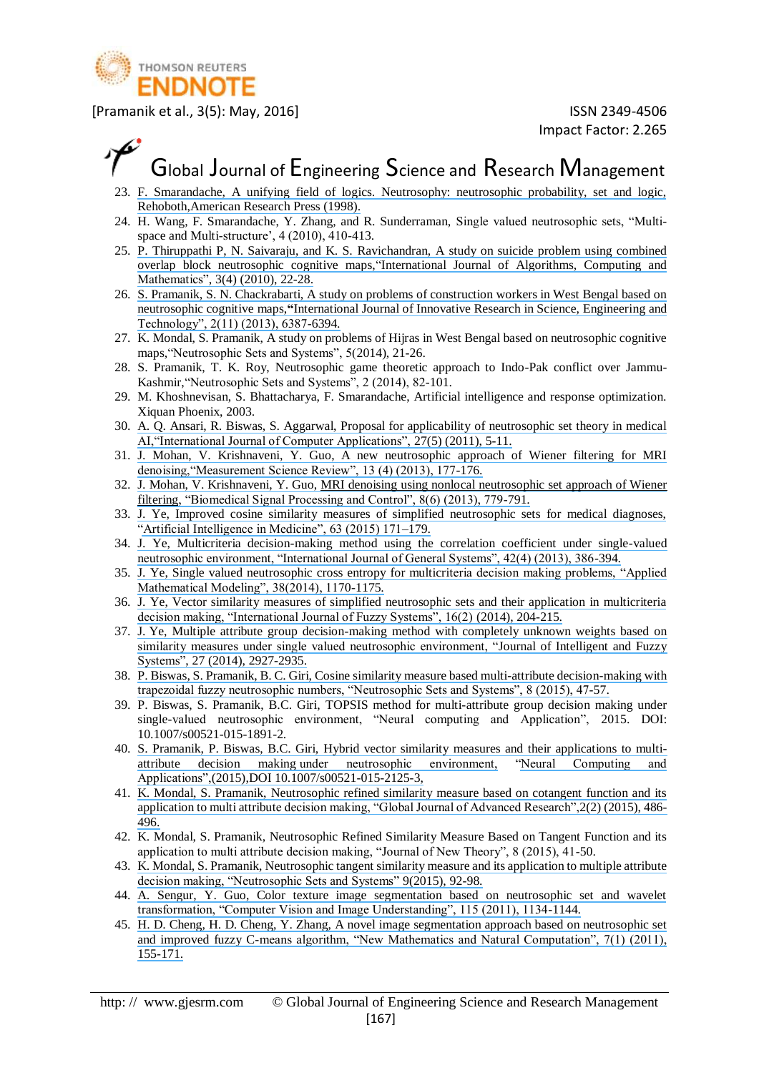

### Global Journal of Engineering Science and Research Management

- 23. [F. Smarandache, A unifying field of logics. Neutrosophy: neutrosophic probability, set and logic,](https://www.researchgate.net/publication/237361912_A_Unifying_Field_in_Logics_Neutrsophic_Logic_Neutrosophy_Neutrosophic_Set_Neutrosophic_Probability_fourth_edition?el=1_x_8&enrichId=rgreq-c69a0d483fc4bb296ed5651ffe1ef4b5-XXX&enrichSource=Y292ZXJQYWdlOzMwMzY2NzQ1NTtBUzozODYyODI3MjAxMjA4MzRAMTQ2OTEwODM4NTgwOA==) [Rehoboth,American Research Press \(1998\).](https://www.researchgate.net/publication/237361912_A_Unifying_Field_in_Logics_Neutrsophic_Logic_Neutrosophy_Neutrosophic_Set_Neutrosophic_Probability_fourth_edition?el=1_x_8&enrichId=rgreq-c69a0d483fc4bb296ed5651ffe1ef4b5-XXX&enrichSource=Y292ZXJQYWdlOzMwMzY2NzQ1NTtBUzozODYyODI3MjAxMjA4MzRAMTQ2OTEwODM4NTgwOA==)
- 24. H. Wang, F. Smarandache, Y. Zhang, and R. Sunderraman, Single valued neutrosophic sets, "Multispace and Multi-structure', 4 (2010), 410-413.
- 25. [P. Thiruppathi P, N. Saivaraju, and K. S. Ravichandran, A study on suicide problem using combined](https://www.researchgate.net/publication/228564858_A_Study_on_Suicide_problem_using_Combined_Overlap_Block_Neutrosophic_Cognitive_Maps?el=1_x_8&enrichId=rgreq-c69a0d483fc4bb296ed5651ffe1ef4b5-XXX&enrichSource=Y292ZXJQYWdlOzMwMzY2NzQ1NTtBUzozODYyODI3MjAxMjA4MzRAMTQ2OTEwODM4NTgwOA==) [overlap block neutrosophic cognitive maps,"International Journal of Algorithms, Computing and](https://www.researchgate.net/publication/228564858_A_Study_on_Suicide_problem_using_Combined_Overlap_Block_Neutrosophic_Cognitive_Maps?el=1_x_8&enrichId=rgreq-c69a0d483fc4bb296ed5651ffe1ef4b5-XXX&enrichSource=Y292ZXJQYWdlOzMwMzY2NzQ1NTtBUzozODYyODI3MjAxMjA4MzRAMTQ2OTEwODM4NTgwOA==) [Mathematics", 3\(4\) \(2010\), 22-28.](https://www.researchgate.net/publication/228564858_A_Study_on_Suicide_problem_using_Combined_Overlap_Block_Neutrosophic_Cognitive_Maps?el=1_x_8&enrichId=rgreq-c69a0d483fc4bb296ed5651ffe1ef4b5-XXX&enrichSource=Y292ZXJQYWdlOzMwMzY2NzQ1NTtBUzozODYyODI3MjAxMjA4MzRAMTQ2OTEwODM4NTgwOA==)
- 26. [S. Pramanik, S. N. Chackrabarti, A study on problems of construction workers in West Bengal based on](https://www.researchgate.net/publication/273121982_A_Study_on_Problems_of_Construction_Workers_in_West_Bengal_Based_on_Neutrosophic_Cognitive_Maps?el=1_x_8&enrichId=rgreq-c69a0d483fc4bb296ed5651ffe1ef4b5-XXX&enrichSource=Y292ZXJQYWdlOzMwMzY2NzQ1NTtBUzozODYyODI3MjAxMjA4MzRAMTQ2OTEwODM4NTgwOA==)  neutrosophic cognitive maps,**"**[International Journal of Innovative Research in Science, Engineering and](https://www.researchgate.net/publication/273121982_A_Study_on_Problems_of_Construction_Workers_in_West_Bengal_Based_on_Neutrosophic_Cognitive_Maps?el=1_x_8&enrichId=rgreq-c69a0d483fc4bb296ed5651ffe1ef4b5-XXX&enrichSource=Y292ZXJQYWdlOzMwMzY2NzQ1NTtBUzozODYyODI3MjAxMjA4MzRAMTQ2OTEwODM4NTgwOA==) [Technology", 2\(11\) \(2013\), 6387-6394.](https://www.researchgate.net/publication/273121982_A_Study_on_Problems_of_Construction_Workers_in_West_Bengal_Based_on_Neutrosophic_Cognitive_Maps?el=1_x_8&enrichId=rgreq-c69a0d483fc4bb296ed5651ffe1ef4b5-XXX&enrichSource=Y292ZXJQYWdlOzMwMzY2NzQ1NTtBUzozODYyODI3MjAxMjA4MzRAMTQ2OTEwODM4NTgwOA==)
- 27. K. Mondal, S. Pramanik, A study on problems of Hijras in West Bengal based on neutrosophic cognitive maps,"Neutrosophic Sets and Systems", 5(2014), 21-26.
- 28. S. Pramanik, T. K. Roy, Neutrosophic game theoretic approach to Indo-Pak conflict over Jammu-Kashmir,"Neutrosophic Sets and Systems", 2 (2014), 82-101.
- 29. M. Khoshnevisan, S. Bhattacharya, F. Smarandache, Artificial intelligence and response optimization. Xiquan Phoenix, 2003.
- 30. [A. Q. Ansari, R. Biswas, S. Aggarwal, Proposal for applicability of neutrosophic set theory in medical](https://www.researchgate.net/publication/235003560_Proposal_for_Applicability_of_Neutrosophic_Set_Theory_in_Medical_AI?el=1_x_8&enrichId=rgreq-c69a0d483fc4bb296ed5651ffe1ef4b5-XXX&enrichSource=Y292ZXJQYWdlOzMwMzY2NzQ1NTtBUzozODYyODI3MjAxMjA4MzRAMTQ2OTEwODM4NTgwOA==)  [AI,"International Journal of Computer Applications",](https://www.researchgate.net/publication/235003560_Proposal_for_Applicability_of_Neutrosophic_Set_Theory_in_Medical_AI?el=1_x_8&enrichId=rgreq-c69a0d483fc4bb296ed5651ffe1ef4b5-XXX&enrichSource=Y292ZXJQYWdlOzMwMzY2NzQ1NTtBUzozODYyODI3MjAxMjA4MzRAMTQ2OTEwODM4NTgwOA==) 27(5) (2011), 5-11.
- 31. [J. Mohan, V. Krishnaveni, Y. Guo, A new neutrosophic](https://www.researchgate.net/publication/270268858_A_New_Neutrosophic_Approach_of_Wiener_Filtering_for_MRI_Denoising?el=1_x_8&enrichId=rgreq-c69a0d483fc4bb296ed5651ffe1ef4b5-XXX&enrichSource=Y292ZXJQYWdlOzMwMzY2NzQ1NTtBUzozODYyODI3MjAxMjA4MzRAMTQ2OTEwODM4NTgwOA==) approach of Wiener filtering for MRI denoising, "Measurement Science Review", 13 (4) (2013), 177-176.
- 32. [J. Mohan, V. Krishnaveni, Y. Guo,](https://www.researchgate.net/publication/259165219_MRI_denoising_using_nonlocal_neutrosophic_set_approach_of_Wiener_filtering?el=1_x_8&enrichId=rgreq-c69a0d483fc4bb296ed5651ffe1ef4b5-XXX&enrichSource=Y292ZXJQYWdlOzMwMzY2NzQ1NTtBUzozODYyODI3MjAxMjA4MzRAMTQ2OTEwODM4NTgwOA==) [MRI denoising using nonlocal neutrosophic set approach of Wiener](http://www.sciencedirect.com/science/article/pii/S1746809413001055)  [filtering](http://www.sciencedirect.com/science/article/pii/S1746809413001055)[, "Biomedical Signal Processing and Control", 8\(6\) \(2013\), 779-791.](https://www.researchgate.net/publication/259165219_MRI_denoising_using_nonlocal_neutrosophic_set_approach_of_Wiener_filtering?el=1_x_8&enrichId=rgreq-c69a0d483fc4bb296ed5651ffe1ef4b5-XXX&enrichSource=Y292ZXJQYWdlOzMwMzY2NzQ1NTtBUzozODYyODI3MjAxMjA4MzRAMTQ2OTEwODM4NTgwOA==)
- 33. [J. Ye, Improved cosine similarity measures of simplified neutrosophic sets for medical diagnoses,](https://www.researchgate.net/publication/270053269_Improved_cosine_similarity_measures_of_simplified_neutrosophic_sets_for_medical_diagnoses?el=1_x_8&enrichId=rgreq-c69a0d483fc4bb296ed5651ffe1ef4b5-XXX&enrichSource=Y292ZXJQYWdlOzMwMzY2NzQ1NTtBUzozODYyODI3MjAxMjA4MzRAMTQ2OTEwODM4NTgwOA==) ["Artificial Intelligence in Medicine", 63 \(2015\) 171–179.](https://www.researchgate.net/publication/270053269_Improved_cosine_similarity_measures_of_simplified_neutrosophic_sets_for_medical_diagnoses?el=1_x_8&enrichId=rgreq-c69a0d483fc4bb296ed5651ffe1ef4b5-XXX&enrichSource=Y292ZXJQYWdlOzMwMzY2NzQ1NTtBUzozODYyODI3MjAxMjA4MzRAMTQ2OTEwODM4NTgwOA==)
- 34. [J. Ye, Multicriteria decision-making method using the correlation coefficient under single-valued](https://www.researchgate.net/publication/263257550_Multicriteria_decision-making_method_using_the_correlation_coefficient_under_single-value_neutrosophic_environment?el=1_x_8&enrichId=rgreq-c69a0d483fc4bb296ed5651ffe1ef4b5-XXX&enrichSource=Y292ZXJQYWdlOzMwMzY2NzQ1NTtBUzozODYyODI3MjAxMjA4MzRAMTQ2OTEwODM4NTgwOA==)  [neutrosophic environment, "International Journal of General Systems", 42\(4\) \(2013\), 386-394.](https://www.researchgate.net/publication/263257550_Multicriteria_decision-making_method_using_the_correlation_coefficient_under_single-value_neutrosophic_environment?el=1_x_8&enrichId=rgreq-c69a0d483fc4bb296ed5651ffe1ef4b5-XXX&enrichSource=Y292ZXJQYWdlOzMwMzY2NzQ1NTtBUzozODYyODI3MjAxMjA4MzRAMTQ2OTEwODM4NTgwOA==)
- 35. J. Ye, [Single valued neutrosophic cross entropy for multicriteria decision making problems, "Applied](https://www.researchgate.net/publication/260043492_Single_valued_neutrosophic_cross-entropy_for_multicriteria_decision_making_problems?el=1_x_8&enrichId=rgreq-c69a0d483fc4bb296ed5651ffe1ef4b5-XXX&enrichSource=Y292ZXJQYWdlOzMwMzY2NzQ1NTtBUzozODYyODI3MjAxMjA4MzRAMTQ2OTEwODM4NTgwOA==) [Mathematical Modeling", 38\(2014\), 1170-1175.](https://www.researchgate.net/publication/260043492_Single_valued_neutrosophic_cross-entropy_for_multicriteria_decision_making_problems?el=1_x_8&enrichId=rgreq-c69a0d483fc4bb296ed5651ffe1ef4b5-XXX&enrichSource=Y292ZXJQYWdlOzMwMzY2NzQ1NTtBUzozODYyODI3MjAxMjA4MzRAMTQ2OTEwODM4NTgwOA==)
- 36. [J. Ye, Vector similarity measures of simplified neutrosophic sets and their application in multicriteria](https://www.researchgate.net/publication/281546974_Vector_similarity_measures_of_simplified_neutrosophic_sets_and_their_application_in_multicriteria_decision_making?el=1_x_8&enrichId=rgreq-c69a0d483fc4bb296ed5651ffe1ef4b5-XXX&enrichSource=Y292ZXJQYWdlOzMwMzY2NzQ1NTtBUzozODYyODI3MjAxMjA4MzRAMTQ2OTEwODM4NTgwOA==) [decision making, "International Journal of Fuzzy Systems", 16\(2\) \(2014\), 204-215.](https://www.researchgate.net/publication/281546974_Vector_similarity_measures_of_simplified_neutrosophic_sets_and_their_application_in_multicriteria_decision_making?el=1_x_8&enrichId=rgreq-c69a0d483fc4bb296ed5651ffe1ef4b5-XXX&enrichSource=Y292ZXJQYWdlOzMwMzY2NzQ1NTtBUzozODYyODI3MjAxMjA4MzRAMTQ2OTEwODM4NTgwOA==)
- 37. J. [Ye, Multiple attribute group decision-making method with completely unknown weights based on](https://www.researchgate.net/publication/279113201_Multiple_attribute_group_decision-making_method_with_completely_unknown_weights_based_on_similarity_measures_under_single_valued_neutrosophic_environment?el=1_x_8&enrichId=rgreq-c69a0d483fc4bb296ed5651ffe1ef4b5-XXX&enrichSource=Y292ZXJQYWdlOzMwMzY2NzQ1NTtBUzozODYyODI3MjAxMjA4MzRAMTQ2OTEwODM4NTgwOA==) [similarity measures under single valued neutrosophic environment, "Journal of Intelligent and Fuzzy](https://www.researchgate.net/publication/279113201_Multiple_attribute_group_decision-making_method_with_completely_unknown_weights_based_on_similarity_measures_under_single_valued_neutrosophic_environment?el=1_x_8&enrichId=rgreq-c69a0d483fc4bb296ed5651ffe1ef4b5-XXX&enrichSource=Y292ZXJQYWdlOzMwMzY2NzQ1NTtBUzozODYyODI3MjAxMjA4MzRAMTQ2OTEwODM4NTgwOA==)  Systems", [27 \(2014\), 2927-2935.](https://www.researchgate.net/publication/279113201_Multiple_attribute_group_decision-making_method_with_completely_unknown_weights_based_on_similarity_measures_under_single_valued_neutrosophic_environment?el=1_x_8&enrichId=rgreq-c69a0d483fc4bb296ed5651ffe1ef4b5-XXX&enrichSource=Y292ZXJQYWdlOzMwMzY2NzQ1NTtBUzozODYyODI3MjAxMjA4MzRAMTQ2OTEwODM4NTgwOA==)
- 38. P. Biswas, S. Pramanik, B. C. Giri, [Cosine similarity measure based multi-attribute decision-making with](https://www.researchgate.net/publication/275582874_Cosine_Similarity_Measure_Based_Multi-attribute_Decision-making_with_Trapezoidal_Fuzzy_Neutrosophic_Numbers?el=1_x_8&enrichId=rgreq-c69a0d483fc4bb296ed5651ffe1ef4b5-XXX&enrichSource=Y292ZXJQYWdlOzMwMzY2NzQ1NTtBUzozODYyODI3MjAxMjA4MzRAMTQ2OTEwODM4NTgwOA==)  [trapezoidal fuzzy neutrosophic numbers, "Neutrosophic Sets and Systems", 8 \(2015\), 47-57.](https://www.researchgate.net/publication/275582874_Cosine_Similarity_Measure_Based_Multi-attribute_Decision-making_with_Trapezoidal_Fuzzy_Neutrosophic_Numbers?el=1_x_8&enrichId=rgreq-c69a0d483fc4bb296ed5651ffe1ef4b5-XXX&enrichSource=Y292ZXJQYWdlOzMwMzY2NzQ1NTtBUzozODYyODI3MjAxMjA4MzRAMTQ2OTEwODM4NTgwOA==)
- 39. P. Biswas, S. Pramanik, B.C. Giri, TOPSIS method for multi-attribute group decision making under single-valued neutrosophic environment, "Neural computing and Application", 2015. DOI: 10.1007/s00521-015-1891-2.
- 40. S. Pramanik, P. Biswas, B.C. Giri, Hybrid vector similarity measures and their applications to multi-<br>attribute decision making under neutrosophic environment. "Neural Computing and attribute decision making [under neutrosophic environment,](https://www.researchgate.net/publication/285549611_Hybrid_vector_similarity_measures_and_their_applications_to_multi-attribute_decision_making_under_neutrosophic_environment?el=1_x_8&enrichId=rgreq-c69a0d483fc4bb296ed5651ffe1ef4b5-XXX&enrichSource=Y292ZXJQYWdlOzMwMzY2NzQ1NTtBUzozODYyODI3MjAxMjA4MzRAMTQ2OTEwODM4NTgwOA==) ["Neural Computing and](https://www.researchgate.net/publication/285549611_Hybrid_vector_similarity_measures_and_their_applications_to_multi-attribute_decision_making_under_neutrosophic_environment?el=1_x_8&enrichId=rgreq-c69a0d483fc4bb296ed5651ffe1ef4b5-XXX&enrichSource=Y292ZXJQYWdlOzMwMzY2NzQ1NTtBUzozODYyODI3MjAxMjA4MzRAMTQ2OTEwODM4NTgwOA==) [Applications",\(2015\),DOI 10.1007/s00521-015-2125-3,](https://www.researchgate.net/publication/285549611_Hybrid_vector_similarity_measures_and_their_applications_to_multi-attribute_decision_making_under_neutrosophic_environment?el=1_x_8&enrichId=rgreq-c69a0d483fc4bb296ed5651ffe1ef4b5-XXX&enrichSource=Y292ZXJQYWdlOzMwMzY2NzQ1NTtBUzozODYyODI3MjAxMjA4MzRAMTQ2OTEwODM4NTgwOA==)
- 41. [K. Mondal, S. Pramanik, Neutrosophic refined similarity measure based on cotangent function and its](https://www.researchgate.net/publication/272828097_Neutrosophic_Refined_Similarity_Measure_Based_on_Cotangent_Function_and_its_Application_to_Multi-attribute_Decision_Making?el=1_x_8&enrichId=rgreq-c69a0d483fc4bb296ed5651ffe1ef4b5-XXX&enrichSource=Y292ZXJQYWdlOzMwMzY2NzQ1NTtBUzozODYyODI3MjAxMjA4MzRAMTQ2OTEwODM4NTgwOA==) [application to multi attribute decision making, "Global Journal of Advanced Research",2\(2\) \(2015\), 486-](https://www.researchgate.net/publication/272828097_Neutrosophic_Refined_Similarity_Measure_Based_on_Cotangent_Function_and_its_Application_to_Multi-attribute_Decision_Making?el=1_x_8&enrichId=rgreq-c69a0d483fc4bb296ed5651ffe1ef4b5-XXX&enrichSource=Y292ZXJQYWdlOzMwMzY2NzQ1NTtBUzozODYyODI3MjAxMjA4MzRAMTQ2OTEwODM4NTgwOA==) [496.](https://www.researchgate.net/publication/272828097_Neutrosophic_Refined_Similarity_Measure_Based_on_Cotangent_Function_and_its_Application_to_Multi-attribute_Decision_Making?el=1_x_8&enrichId=rgreq-c69a0d483fc4bb296ed5651ffe1ef4b5-XXX&enrichSource=Y292ZXJQYWdlOzMwMzY2NzQ1NTtBUzozODYyODI3MjAxMjA4MzRAMTQ2OTEwODM4NTgwOA==)
- 42. K. Mondal, S. Pramanik, Neutrosophic Refined Similarity Measure Based on Tangent Function and its application to multi attribute decision making, "Journal of New Theory", 8 (2015), 41-50.
- 43. K. Mondal, S. Pramanik, Neutrosophic [tangent similarity measure and its application to multiple attribute](https://www.researchgate.net/publication/281068263_Neutrosophic_Tangent_Similarity_Measure_and_Its_Application_to_Multiple_Attribute_Decision_Making?el=1_x_8&enrichId=rgreq-c69a0d483fc4bb296ed5651ffe1ef4b5-XXX&enrichSource=Y292ZXJQYWdlOzMwMzY2NzQ1NTtBUzozODYyODI3MjAxMjA4MzRAMTQ2OTEwODM4NTgwOA==) [decision making, "Neutrosophic Sets and Systems"](https://www.researchgate.net/publication/281068263_Neutrosophic_Tangent_Similarity_Measure_and_Its_Application_to_Multiple_Attribute_Decision_Making?el=1_x_8&enrichId=rgreq-c69a0d483fc4bb296ed5651ffe1ef4b5-XXX&enrichSource=Y292ZXJQYWdlOzMwMzY2NzQ1NTtBUzozODYyODI3MjAxMjA4MzRAMTQ2OTEwODM4NTgwOA==) 9(2015), 92-98.
- 44. [A. Sengur, Y. Guo, Color texture image segmentation based on neutrosophic set and wavelet](https://www.researchgate.net/publication/220134488_Color_texture_image_segmentation_based_on_neutrosophic_set_and_wavelet_transformation?el=1_x_8&enrichId=rgreq-c69a0d483fc4bb296ed5651ffe1ef4b5-XXX&enrichSource=Y292ZXJQYWdlOzMwMzY2NzQ1NTtBUzozODYyODI3MjAxMjA4MzRAMTQ2OTEwODM4NTgwOA==) [transformation, "Computer Vision and Image Understanding", 115 \(2011\), 1134-1144.](https://www.researchgate.net/publication/220134488_Color_texture_image_segmentation_based_on_neutrosophic_set_and_wavelet_transformation?el=1_x_8&enrichId=rgreq-c69a0d483fc4bb296ed5651ffe1ef4b5-XXX&enrichSource=Y292ZXJQYWdlOzMwMzY2NzQ1NTtBUzozODYyODI3MjAxMjA4MzRAMTQ2OTEwODM4NTgwOA==)
- 45. [H. D. Cheng, H. D. Cheng, Y. Zhang, A novel image segmentation approach based on neutrosophic set](https://www.researchgate.net/publication/227653028_A_NOVEL_IMAGE_SEGMENTATION_APPROACH_BASED_ON_NEUTROSOPHIC_SET_AND_IMPROVED_FUZZY_C-MEANS_ALGORITHM?el=1_x_8&enrichId=rgreq-c69a0d483fc4bb296ed5651ffe1ef4b5-XXX&enrichSource=Y292ZXJQYWdlOzMwMzY2NzQ1NTtBUzozODYyODI3MjAxMjA4MzRAMTQ2OTEwODM4NTgwOA==) [and improved fuzzy C-means algorithm, "New Mathematics and Natural Computation", 7\(1\) \(2011\),](https://www.researchgate.net/publication/227653028_A_NOVEL_IMAGE_SEGMENTATION_APPROACH_BASED_ON_NEUTROSOPHIC_SET_AND_IMPROVED_FUZZY_C-MEANS_ALGORITHM?el=1_x_8&enrichId=rgreq-c69a0d483fc4bb296ed5651ffe1ef4b5-XXX&enrichSource=Y292ZXJQYWdlOzMwMzY2NzQ1NTtBUzozODYyODI3MjAxMjA4MzRAMTQ2OTEwODM4NTgwOA==) [155-171.](https://www.researchgate.net/publication/227653028_A_NOVEL_IMAGE_SEGMENTATION_APPROACH_BASED_ON_NEUTROSOPHIC_SET_AND_IMPROVED_FUZZY_C-MEANS_ALGORITHM?el=1_x_8&enrichId=rgreq-c69a0d483fc4bb296ed5651ffe1ef4b5-XXX&enrichSource=Y292ZXJQYWdlOzMwMzY2NzQ1NTtBUzozODYyODI3MjAxMjA4MzRAMTQ2OTEwODM4NTgwOA==)

### http: // www.gjesrm.com © Global Journal of Engineering Science and Research Management